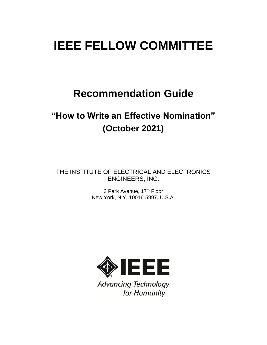# **IEEE FELLOW COMMITTEE**

# **Recommendation Guide**

# **"How to Write an Effective Nomination" (October 2021)**

THE INSTITUTE OF ELECTRICAL AND ELECTRONICS ENGINEERS, INC.

> 3 Park Avenue, 17<sup>th</sup> Floor New York, N.Y. 10016-5997, U.S.A.



**Advancing Technology** for Humanity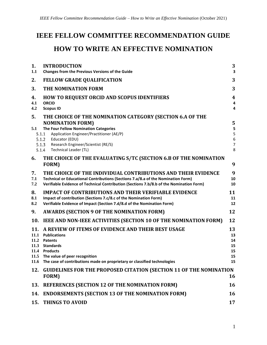# **IEEE FELLOW COMMITTEE RECOMMENDATION GUIDE HOW TO WRITE AN EFFECTIVE NOMINATION**

| 1.                          | <b>INTRODUCTION</b>                                                                                                                                                                                                                                                                            |                                        |  |  |  |  |
|-----------------------------|------------------------------------------------------------------------------------------------------------------------------------------------------------------------------------------------------------------------------------------------------------------------------------------------|----------------------------------------|--|--|--|--|
| 1.1                         | Changes from the Previous Versions of the Guide                                                                                                                                                                                                                                                |                                        |  |  |  |  |
| 2.                          | <b>FELLOW GRADE QUALIFICATION</b>                                                                                                                                                                                                                                                              | 3                                      |  |  |  |  |
| 3.                          | THE NOMINATION FORM                                                                                                                                                                                                                                                                            |                                        |  |  |  |  |
| 4.<br>4.1<br>4.2            | <b>HOW TO REQUEST ORCID AND SCOPUS IDENTIFIERS</b><br><b>ORCID</b><br><b>Scopus ID</b>                                                                                                                                                                                                         |                                        |  |  |  |  |
| 5.<br>5.1                   | THE CHOICE OF THE NOMINATION CATEGORY (SECTION 6.A OF THE<br><b>NOMINATION FORM)</b><br>The Four Fellow Nomination Categories<br>5.1.1<br>Application Engineer/Practitioner (AE/P)<br>5.1.2<br>Educator (EDU)<br>5.1.3<br>Research Engineer/Scientist (RE/S)<br>Technical Leader (TL)<br>5.1.4 |                                        |  |  |  |  |
| 6.                          | THE CHOICE OF THE EVALUATING S/TC (SECTION 6.B OF THE NOMINATION<br>FORM)                                                                                                                                                                                                                      | 9                                      |  |  |  |  |
| 7.<br>7.1<br>7.2            | THE CHOICE OF THE INDIVIDUAL CONTRIBUTIONS AND THEIR EVIDENCE<br>Technical or Educational Contributions (Sections 7.a/8.a of the Nomination Form)<br>Verifiable Evidence of Technical Contribution (Sections 7.b/8.b of the Nomination Form)                                                   | 9<br>10<br>10                          |  |  |  |  |
| 8.<br>8.1<br>8.2            | <b>IMPACT OF CONTRIBUTIONS AND THEIR VERIFIABLE EVIDENCE</b><br>Impact of contribution (Sections 7.c/8.c of the Nomination Form)<br>Verifiable Evidence of Impact (Section 7.d/8.d of the Nomination Form)                                                                                     |                                        |  |  |  |  |
| 9.                          | <b>AWARDS (SECTION 9 OF THE NOMINATION FORM)</b>                                                                                                                                                                                                                                               | 12                                     |  |  |  |  |
| 10.                         | IEEE AND NON-IEEE ACTIVITIES (SECTION 10 OF THE NOMINATION FORM)                                                                                                                                                                                                                               | 12                                     |  |  |  |  |
| 11.<br>11.1<br>11.2<br>11.3 | A REVIEW OF ITEMS OF EVIDENCE AND THEIR BEST USAGE<br><b>Publications</b><br><b>Patents</b><br><b>Standards</b><br>11.4 Products<br>11.5 The value of peer recognition<br>11.6 The case of contributions made on proprietary or classified technologies                                        | 13<br>13<br>14<br>15<br>15<br>15<br>15 |  |  |  |  |
| 12.                         | <b>GUIDELINES FOR THE PROPOSED CITATION (SECTION 11 OF THE NOMINATION</b><br>FORM)                                                                                                                                                                                                             | 16                                     |  |  |  |  |
| 13.                         | <b>REFERENCES (SECTION 12 OF THE NOMINATION FORM)</b>                                                                                                                                                                                                                                          | 16                                     |  |  |  |  |
| 14.                         | <b>ENDORSEMENTS (SECTION 13 OF THE NOMINATION FORM)</b>                                                                                                                                                                                                                                        |                                        |  |  |  |  |
| 15.                         | THINGS TO AVOID                                                                                                                                                                                                                                                                                | 17                                     |  |  |  |  |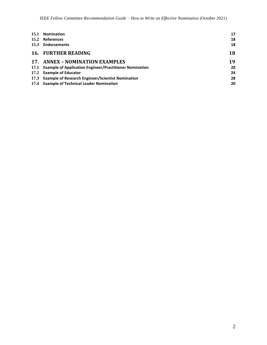| 15.1 | <b>Nomination</b>                                            | 17 |
|------|--------------------------------------------------------------|----|
|      | 15.2 References                                              | 18 |
|      | 15.3 Endorsements                                            | 18 |
|      | <b>16. FURTHER READING</b>                                   | 18 |
|      | 17. ANNEX - NOMINATION EXAMPLES                              | 19 |
|      | 17.1 Example of Application Engineer/Practitioner Nomination | 20 |
|      | 17.2 Example of Educator                                     | 24 |
|      | 17.3 Example of Research Engineer/Scientist Nomination       | 28 |
|      | 17.4 Example of Technical Leader Nomination                  | 20 |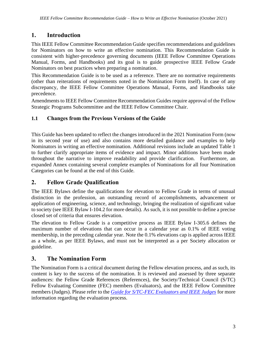# <span id="page-3-0"></span>**1. Introduction**

This IEEE Fellow Committee Recommendation Guide specifies recommendations and guidelines for Nominators on how to write an effective nomination. This Recommendation Guide is consistent with higher-precedence governing documents (IEEE Fellow Committee Operations Manual, Forms, and Handbooks) and its goal is to guide prospective IEEE Fellow Grade Nominators on best practices when preparing a nomination.

This Recommendation Guide is to be used as a reference. There are no normative requirements (other than reiterations of requirements noted in the Nomination Form itself). In case of any discrepancy, the IEEE Fellow Committee Operations Manual, Forms, and Handbooks take precedence.

Amendments to IEEE Fellow Committee Recommendation Guides require approval of the Fellow Strategic Programs Subcommittee and the IEEE Fellow Committee Chair.

# <span id="page-3-1"></span>**1.1 Changes from the Previous Versions of the Guide**

This Guide has been updated to reflect the changes introduced in the 2021 Nomination Form (now in its second year of use) and also contains more detailed guidance and examples to help Nominators in writing an effective nomination. Additional revisions include an updated Table 1 to further clarify appropriate items of evidence and impact. Minor additions have been made throughout the narrative to improve readability and provide clarification. Furthermore, an expanded Annex containing several complete examples of Nominations for all four Nomination Categories can be found at the end of this Guide.

# <span id="page-3-2"></span>**2. Fellow Grade Qualification**

The IEEE Bylaws define the qualifications for elevation to Fellow Grade in terms of unusual distinction in the profession, an outstanding record of accomplishments, advancement or application of engineering, science, and technology, bringing the realization of significant value to society (see IEEE Bylaw I-104.2 for more details). As such, it is not possible to define a precise closed set of criteria that ensures elevation.

The elevation to Fellow Grade is a competitive process as IEEE Bylaw I-305.6 defines the maximum number of elevations that can occur in a calendar year as 0.1% of IEEE voting membership, in the preceding calendar year. Note the 0.1% elevations cap is applied across IEEE as a whole, as per IEEE Bylaws, and must not be interpreted as a per Society allocation or guideline.

# <span id="page-3-3"></span>**3. The Nomination Form**

The Nomination Form is a critical document during the Fellow elevation process, and as such, its content is key to the success of the nomination. It is reviewed and assessed by three separate audiences: the Fellow Grade References (References), the Society/Technical Council (S/TC) Fellow Evaluating Committee (FEC) members (Evaluators), and the IEEE Fellow Committee members (Judges). Please refer to the *[Guide for S/TC-FEC Evaluators and IEEE Judges](https://www.ieee.org/content/dam/ieee-org/ieee/web/org/about/fellows/fellows-evaluators-judges.pdf)* for more information regarding the evaluation process.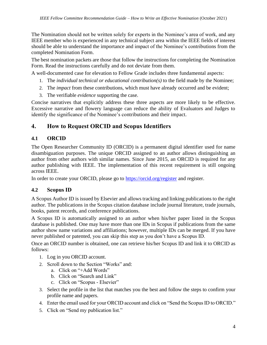The Nomination should not be written solely for experts in the Nominee's area of work, and any IEEE member who is experienced in any technical subject area within the IEEE fields of interest should be able to understand the importance and impact of the Nominee's contributions from the completed Nomination Form.

The best nomination packets are those that follow the instructions for completing the Nomination Form. Read the instructions carefully and do not deviate from them.

A well-documented case for elevation to Fellow Grade includes three fundamental aspects:

- 1. The *individual technical or educational contribution(s)* to the field made by the Nominee;
- 2. The *impact* from these contributions, which must have already occurred and be evident;
- 3. The verifiable *evidence* supporting the case.

Concise narratives that explicitly address these three aspects are more likely to be effective. Excessive narrative and flowery language can reduce the ability of Evaluators and Judges to identify the significance of the Nominee's contributions and their impact.

# <span id="page-4-0"></span>**4. How to Request ORCID and Scopus Identifiers**

# <span id="page-4-1"></span>**4.1 ORCID**

The Open Researcher Community ID (ORCID) is a permanent digital identifier used for name disambiguation purposes. The unique ORCID assigned to an author allows distinguishing an author from other authors with similar names. Since June 2015, an ORCID is required for any author publishing with IEEE. The implementation of this recent requirement is still ongoing across IEEE.

In order to create your ORCID, please go to<https://orcid.org/register> and register.

# <span id="page-4-2"></span>**4.2 Scopus ID**

A Scopus Author ID is issued by Elsevier and allows tracking and linking publications to the right author. The publications in the Scopus citation database include journal literature, trade journals, books, patent records, and conference publications.

A Scopus ID is automatically assigned to an author when his/her paper listed in the Scopus database is published. One may have more than one IDs in Scopus if publications from the same author show name variations and affiliations; however, multiple IDs can be merged. If you have never published or patented, you can skip this step as you don't have a Scopus ID.

Once an ORCID number is obtained, one can retrieve his/her Scopus ID and link it to ORCID as follows:

- 1. Log in you ORCID account.
- 2. Scroll down to the Section "Works" and:
	- a. Click on "+Add Words"
	- b. Click on "Search and Link"
	- c. Click on "Scopus Elsevier"
- 3. Select the profile in the list that matches you the best and follow the steps to confirm your profile name and papers.
- 4. Enter the email used for your ORCID account and click on "Send the Scopus ID to ORCID."
- 5. Click on "Send my publication list."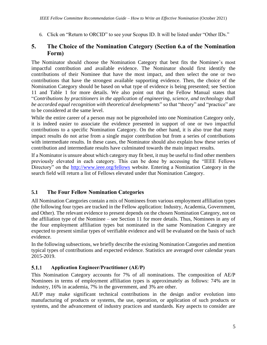6. Click on "Return to ORCID" to see your Scopus ID. It will be listed under "Other IDs."

# <span id="page-5-0"></span>**5. The Choice of the Nomination Category (Section 6.a of the Nomination Form)**

The Nominator should choose the Nomination Category that best fits the Nominee's most impactful contribution and available evidence. The Nominator should first identify the contributions of their Nominee that have the most impact, and then select the one or two contributions that have the strongest available supporting evidence. Then, the choice of the Nomination Category should be based on what type of evidence is being presented; see Section [11](#page-13-0) and [Table 1](#page-11-2) for more details. We also point out that the Fellow Manual states that "*Contributions by practitioners in the application of engineering, science, and technology shall be accorded equal recognition with theoretical developments*" so that "theory" and "practice" are to be considered at the same level.

While the entire career of a person may not be pigeonholed into one Nomination Category only, it is indeed easier to associate the evidence presented in support of one or two impactful contributions to a specific Nomination Category. On the other hand, it is also true that many impact results do not arise from a single major contribution but from a series of contributions with intermediate results. In these cases, the Nominator should also explain how these series of contribution and intermediate results have culminated towards the main impact results.

If a Nominator is unsure about which category may fit best, it may be useful to find other members previously elevated in each category. This can be done by accessing the "IEEE Fellows Directory" on the<http://www.ieee.org/fellows> website. Entering a Nomination Category in the search field will return a list of Fellows elevated under that Nomination Category.

# <span id="page-5-1"></span>**5.1 The Four Fellow Nomination Categories**

All Nomination Categories contain a mix of Nominees from various employment affiliation types (the following four types are tracked in the Fellow application: Industry, Academia, Government, and Other). The relevant evidence to present depends on the chosen Nomination Category, not on the affiliation type of the Nominee – see Section [11](#page-13-0) for more details. Thus, Nominees in any of the four employment affiliation types but nominated in the same Nomination Category are expected to present similar types of verifiable evidence and will be evaluated on the basis of such evidence.

In the following subsections, we briefly describe the existing Nomination Categories and mention typical types of contributions and expected evidence. Statistics are averaged over calendar years 2015-2019.

#### <span id="page-5-2"></span> $5.1.1$ **Application Engineer/Practitioner (AE/P)**

This Nomination Category accounts for 7% of all nominations. The composition of AE/P Nominees in terms of employment affiliation types is approximately as follows: 74% are in industry, 16% in academia, 7% in the government, and 3% are other.

AE/P may make significant technical contributions in the design and/or evolution into manufacturing of products or systems, the use, operation, or application of such products or systems, and the advancement of industry practices and standards. Key aspects to consider are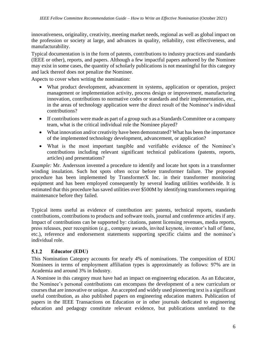innovativeness, originality, creativity, meeting market needs, regional as well as global impact on the profession or society at large, and advances in quality, reliability, cost effectiveness, and manufacturability.

Typical documentation is in the form of patents, contributions to industry practices and standards (IEEE or other), reports, and papers. Although a few impactful papers authored by the Nominee may exist in some cases, the quantity of scholarly publications is not meaningful for this category and lack thereof does not penalize the Nominee.

Aspects to cover when writing the nomination:

- What product development, advancement in systems, application or operation, project management or implementation activity, process design or improvement, manufacturing innovation, contributions to normative codes or standards and their implementation, etc., in the areas of technology application were the direct result of the Nominee's individual contributions?
- If contributions were made as part of a group such as a Standards Committee or a company team, what is the critical individual role the Nominee played?
- What innovation and/or creativity have been demonstrated? What has been the importance of the implemented technology development, advancement, or application?
- What is the most important tangible and verifiable evidence of the Nominee's contributions including relevant significant technical publications (patents, reports, articles) and presentations?

*Example:* Mr. Andersson invented a procedure to identify and locate hot spots in a transformer winding insulation. Such hot spots often occur before transformer failure. The proposed procedure has been implemented by TransformerX Inc. in their transformer monitoring equipment and has been employed consequently by several leading utilities worldwide. It is estimated that this procedure has saved utilities over \$500M by identifying transformers requiring maintenance before they failed.

Typical items useful as evidence of contribution are: patents, technical reports, standards contributions, contributions to products and software tools, journal and conference articles if any. Impact of contributions can be supported by: citations, patent licensing revenues, media reports, press releases, peer recognition (e.g., company awards, invited keynote, inventor's hall of fame, etc.), reference and endorsement statements supporting specific claims and the nominee's individual role.

#### <span id="page-6-0"></span>5.1.2 **Educator (EDU)**

This Nomination Category accounts for nearly 4% of nominations. The composition of EDU Nominees in terms of employment affiliation types is approximately as follows: 97% are in Academia and around 3% in Industry.

A Nominee in this category must have had an impact on engineering education. As an Educator, the Nominee's personal contributions can encompass the development of a new curriculum or courses that are innovative or unique. An accepted and widely used pioneering text is a significant useful contribution, as also published papers on engineering education matters. Publication of papers in the IEEE Transactions on Education or in other journals dedicated to engineering education and pedagogy constitute relevant evidence, but publications unrelated to the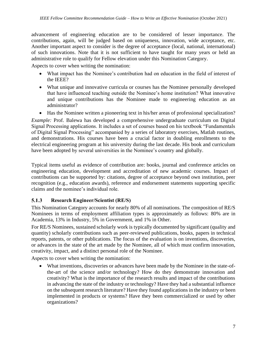advancement of engineering education are to be considered of lesser importance. The contributions, again, will be judged based on uniqueness, innovation, wide acceptance, etc. Another important aspect to consider is the degree of acceptance (local, national, international) of such innovations. Note that it is not sufficient to have taught for many years or held an administrative role to qualify for Fellow elevation under this Nomination Category.

Aspects to cover when writing the nomination:

- What impact has the Nominee's contribution had on education in the field of interest of the IEEE?
- What unique and innovative curricula or courses has the Nominee personally developed that have influenced teaching outside the Nominee's home institution? What innovative and unique contributions has the Nominee made to engineering education as an administrator?
- Has the Nominee written a pioneering text in his/her areas of professional specialization?

*Example:* Prof. Balewa has developed a comprehensive undergraduate curriculum on Digital Signal Processing applications. It includes a set of courses based on his textbook "Fundamentals of Digital Signal Processing" accompanied by a series of laboratory exercises, Matlab routines, and demonstrations. His courses have been a crucial factor in doubling enrollments to the electrical engineering program at his university during the last decade. His book and curriculum have been adopted by several universities in the Nominee's country and globally.

Typical items useful as evidence of contribution are: books, journal and conference articles on engineering education, development and accreditation of new academic courses. Impact of contributions can be supported by: citations, degree of acceptance beyond own institution, peer recognition (e.g., education awards), reference and endorsement statements supporting specific claims and the nominee's individual role.

#### <span id="page-7-0"></span>**Research Engineer/Scientist (RE/S)** 5.1.3

This Nomination Category accounts for nearly 80% of all nominations. The composition of RE/S Nominees in terms of employment affiliation types is approximately as follows: 80% are in Academia, 13% in Industry, 5% in Government, and 1% in Other.

For RE/S Nominees, sustained scholarly work is typically documented by significant (quality and quantity) scholarly contributions such as peer-reviewed publications, books, papers in technical reports, patents, or other publications. The focus of the evaluation is on inventions, discoveries, or advances in the state of the art made by the Nominee, all of which must confirm innovation, creativity, impact, and a distinct personal role of the Nominee.

Aspects to cover when writing the nomination:

• What inventions, discoveries or advances have been made by the Nominee in the state-ofthe-art of the science and/or technology? How do they demonstrate innovation and creativity? What is the importance of the research results and impact of the contributions in advancing the state of the industry or technology? Have they had a substantial influence on the subsequent research literature? Have they found applications in the industry or been implemented in products or systems? Have they been commercialized or used by other organizations?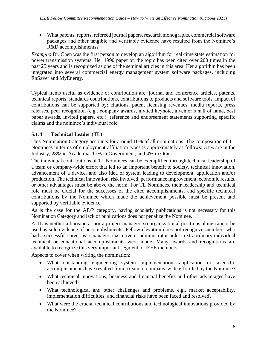• What patents, reports, refereed journal papers, research monographs, commercial software packages and other tangible and verifiable evidence have resulted from the Nominee's R&D accomplishments?

*Example*: Dr. Chen was the first person to develop an algorithm for real-time state estimation for power transmission systems. Her 1990 paper on the topic has been cited over 200 times in the past 25 years and is recognized as one of the seminal articles in this area. Her algorithm has been integrated into several commercial energy management system software packages, including EnSaver and MyEnergy.

Typical items useful as evidence of contribution are: journal and conference articles, patents, technical reports, standards contributions, contributions to products and software tools. Impact of contributions can be supported by: citations, patent licensing revenues, media reports, press releases, peer recognition (e.g., company awards, invited keynote, inventor's hall of fame, best paper awards, invited papers, etc.), reference and endorsement statements supporting specific claims and the nominee's individual role.

#### <span id="page-8-0"></span> $5.1.4$ **Technical Leader (TL)**

This Nomination Category accounts for around 10% of all nominations. The composition of TL Nominees in terms of employment affiliation types is approximately as follows: 51% are in the Industry, 28% in Academia, 17% in Government, and 4% in Other.

The individual contributions of TL Nominees can be exemplified through technical leadership of a team or company-wide effort that led to an important benefit to society, technical innovation, advancement of a device, and also idea or system leading to development, application and/or production. The technical innovation, risk involved, performance improvement, economic results, or other advantages must be above the norm. For TL Nominees, their leadership and technical role must be crucial for the successes of the cited accomplishments, and specific technical contributions by the Nominee which made the achievement possible must be present and supported by verifiable evidence.

As is the case for the AE/P category, having scholarly publications is not necessary for this Nomination Category and lack of publications does not penalize the Nominee.

A TL is neither a bureaucrat nor a project manager, so organizational positions alone cannot be used as sole evidence of accomplishments. Fellow elevation does not recognize members who had a successful career as a manager, executive or administrator unless extraordinary individual technical or educational accomplishments were made. Many awards and recognitions are available to recognize this very important segment of IEEE members.

Aspects to cover when writing the nomination:

- What outstanding engineering system implementation, application or scientific accomplishments have resulted from a team or company-wide effort led by the Nominee?
- What technical innovations, business and financial benefits and other advantages have been achieved?
- What technological and other challenges and problems, e.g., market acceptability, implementation difficulties, and financial risks have been faced and resolved?
- What were the crucial technical contributions and technological innovations provided by the Nominee?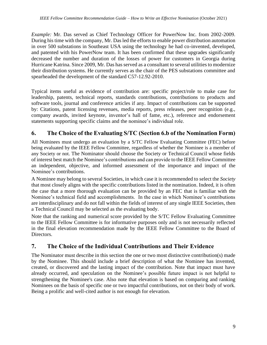*Example:* Mr. Das served as Chief Technology Officer for PowerNow Inc. from 2002-2009. During his time with the company, Mr. Das led the efforts to enable power distribution automation in over 500 substations in Southeast USA using the technology he had co-invented, developed, and patented with his PowerNow team. It has been confirmed that these upgrades significantly decreased the number and duration of the losses of power for customers in Georgia during Hurricane Katrina. Since 2009, Mr. Das has served as a consultant to several utilities to modernize their distribution systems. He currently serves as the chair of the PES substations committee and spearheaded the development of the standard C57-12.92-2010.

Typical items useful as evidence of contribution are: specific project/role to make case for leadership, patents, technical reports, standards contributions, contributions to products and software tools, journal and conference articles if any. Impact of contributions can be supported by: Citations, patent licensing revenues, media reports, press releases, peer recognition (e.g., company awards, invited keynote, inventor's hall of fame, etc.), reference and endorsement statements supporting specific claims and the nominee's individual role.

# <span id="page-9-0"></span>**6. The Choice of the Evaluating S/TC (Section 6.b of the Nomination Form)**

All Nominees must undergo an evaluation by a S/TC Fellow Evaluating Committee (FEC) before being evaluated by the IEEE Fellow Committee, regardless of whether the Nominee is a member of any Society or not. The Nominator should choose the Society or Technical Council whose fields of interest best match the Nominee's contributions and can provide to the IEEE Fellow Committee an independent, objective, and informed assessment of the importance and impact of the Nominee's contributions.

A Nominee may belong to several Societies, in which case it is recommended to select the *Society* that most closely aligns with the specific contributions listed in the nomination. Indeed, it is often the case that a more thorough evaluation can be provided by an FEC that is familiar with the Nominee's technical field and accomplishments. In the case in which Nominee's contributions are interdisciplinary and do not fall within the fields of interest of any single IEEE Societies, then a Technical Council may be selected as the evaluating body.

Note that the ranking and numerical score provided by the S/TC Fellow Evaluating Committee to the IEEE Fellow Committee is for informative purposes only and is not necessarily reflected in the final elevation recommendation made by the IEEE Fellow Committee to the Board of Directors.

# <span id="page-9-1"></span>**7. The Choice of the Individual Contributions and Their Evidence**

The Nominator must describe in this section the one or two most distinctive contribution(s) made by the Nominee. This should include a brief description of what the Nominee has invented, created, or discovered and the lasting impact of the contribution. Note that impact must have already occurred, and speculation on the Nominee's possible future impact is not helpful to strengthening the Nominee's case. Also note that elevation is based on comparing and ranking Nominees on the basis of specific one or two impactful contributions, not on their body of work. Being a prolific and well-cited author is not enough for elevation.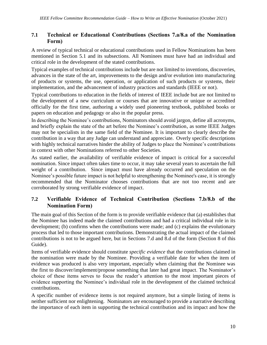## <span id="page-10-0"></span>**7.1 Technical or Educational Contributions (Sections 7.a/8.a of the Nomination Form)**

A review of typical technical or educational contributions used in Fellow Nominations has been mentioned in Section [5.1](#page-5-1) and its subsections. All Nominees must have had an individual and critical role in the development of the stated contributions.

Typical examples of technical contributions include but are not limited to inventions, discoveries, advances in the state of the art, improvements to the design and/or evolution into manufacturing of products or systems, the use, operation, or application of such products or systems, their implementation, and the advancement of industry practices and standards (IEEE or not).

Typical contributions to education in the fields of interest of IEEE include but are not limited to the development of a new curriculum or courses that are innovative or unique or accredited officially for the first time, authoring a widely used pioneering textbook, published books or papers on education and pedagogy or also in the popular press.

In describing the Nominee's contributions, Nominators should avoid jargon, define all acronyms, and briefly explain the state of the art before the Nominee's contribution, as some IEEE Judges may not be specialists in the same field of the Nominee. It is important to clearly describe the contribution in a way that any Judge can understand and appreciate. Overly specific descriptions with highly technical narratives hinder the ability of Judges to place the Nominee's contributions in context with other Nominations referred to other Societies.

As stated earlier, the availability of verifiable evidence of impact is critical for a successful nomination. Since impact often takes time to occur, it may take several years to ascertain the full weight of a contribution. Since impact must have already occurred and speculation on the Nominee's possible future impact is not helpful to strengthening the Nominee's case, it is strongly recommended that the Nominator chooses contributions that are not too recent and are corroborated by strong verifiable evidence of impact.

# <span id="page-10-1"></span>**7.2 Verifiable Evidence of Technical Contribution (Sections 7.b/8.b of the Nomination Form)**

The main goal of this Section of the form is to provide verifiable evidence that (a) establishes that the Nominee has indeed made the claimed contributions and had a critical individual role in its development; (b) confirms when the contributions were made; and (c) explains the evolutionary process that led to those important contributions. Demonstrating the actual impact of the claimed contributions is not to be argued here, but in Sections 7.d and 8.d of the form (Section [8](#page-11-0) of this Guide).

Items of verifiable evidence should constitute *specific evidence* that the contributions claimed in the nomination were made by the Nominee. Providing a verifiable date for when the item of evidence was produced is also very important, especially when claiming that the Nominee was the first to discover/implement/propose something that later had great impact. The Nominator's choice of these items serves to focus the reader's attention to the most important pieces of evidence supporting the Nominee's individual role in the development of the claimed technical contributions.

A specific number of evidence items is not required anymore, but a simple listing of items is neither sufficient nor enlightening. Nominators are encouraged to provide a narrative describing the importance of each item in supporting the technical contribution and its impact and how the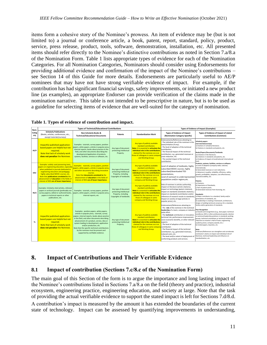items form a cohesive story of the Nominee's prowess. An item of evidence may be (but is not limited to) a journal or conference article, a book, patent, report, standard, policy, product, service, press release, product, tools, software, demonstration, installation, etc. All presented items should refer directly to the Nominee's distinctive contributions as noted in Section 7.a/8.a of the Nomination Form. [Table 1](#page-11-2) lists appropriate types of evidence for each of the Nomination Categories. For all Nomination Categories, Nominators should consider using Endorsements for providing additional evidence and confirmation of the impact of the Nominee's contributions – see Section [14](#page-16-2) of this Guide for more details. Endorsements are particularly useful to AE/P nominees that may have not have strong verifiable evidence of impact. For example, if the contribution has had significant financial savings, safety improvements, or initiated a new product line (as examples), an appropriate Endorser can provide verification of the claims made in the nomination narrative. This table is not intended to be prescriptive in nature, but is to be used as a guideline for selecting items of evidence that are well-suited for the category of nomination.

| Nom.         | <b>Types of Technical/Educational Contributions</b>                                                                                                                                                                                                                                                                                                           |                                                                                                                                                                                                                                                                                                                                                                                                                                                |                                                                                                    |                                                                                                                                                                                                                                               | <b>Types of Evidence of Impact (Examples)</b>                                                                                                                                                                                                                                                                                                                                                                                                                                                                                                                     |                                                                                                                                                                                                                                                                                                                                                                                                                                                                                                                                                                                                                                                                                                                                                                                                                                                                                                                                                                                                                                                                                                                                                                                                                                                                                                                                                                                                                                                                                                                                                                                                                                                                                |  |
|--------------|---------------------------------------------------------------------------------------------------------------------------------------------------------------------------------------------------------------------------------------------------------------------------------------------------------------------------------------------------------------|------------------------------------------------------------------------------------------------------------------------------------------------------------------------------------------------------------------------------------------------------------------------------------------------------------------------------------------------------------------------------------------------------------------------------------------------|----------------------------------------------------------------------------------------------------|-----------------------------------------------------------------------------------------------------------------------------------------------------------------------------------------------------------------------------------------------|-------------------------------------------------------------------------------------------------------------------------------------------------------------------------------------------------------------------------------------------------------------------------------------------------------------------------------------------------------------------------------------------------------------------------------------------------------------------------------------------------------------------------------------------------------------------|--------------------------------------------------------------------------------------------------------------------------------------------------------------------------------------------------------------------------------------------------------------------------------------------------------------------------------------------------------------------------------------------------------------------------------------------------------------------------------------------------------------------------------------------------------------------------------------------------------------------------------------------------------------------------------------------------------------------------------------------------------------------------------------------------------------------------------------------------------------------------------------------------------------------------------------------------------------------------------------------------------------------------------------------------------------------------------------------------------------------------------------------------------------------------------------------------------------------------------------------------------------------------------------------------------------------------------------------------------------------------------------------------------------------------------------------------------------------------------------------------------------------------------------------------------------------------------------------------------------------------------------------------------------------------------|--|
| Categ<br>ory | <b>Scholarly Publications</b><br>(Books, articles, conferences, etc.,<br>except tutorials/surveys)                                                                                                                                                                                                                                                            | Non-Scholarly Books &<br><b>Technical/Educational Documents</b>                                                                                                                                                                                                                                                                                                                                                                                | Patents                                                                                            | <b>Standardization Work</b>                                                                                                                                                                                                                   | <b>Types of Evidence of Impact</b><br>(Nomination Category Specific)                                                                                                                                                                                                                                                                                                                                                                                                                                                                                              | Types of Evidence of Impact of stated<br><b>Contributions (Common)</b>                                                                                                                                                                                                                                                                                                                                                                                                                                                                                                                                                                                                                                                                                                                                                                                                                                                                                                                                                                                                                                                                                                                                                                                                                                                                                                                                                                                                                                                                                                                                                                                                         |  |
| AE/P         | Impactful published application-<br>based papers are helpful but not<br>required.<br>Note that lack of scholarly work<br>does not penalize the Nominee.                                                                                                                                                                                                       | Examples: tutorials, survey papers, position<br>papers, white papers, articles in popular press,<br>internal reports, books about practice in the<br>field, and other documents describing the<br>development/application of products,<br>systems, facilities, services or software, etc.                                                                                                                                                      | Any type of document<br>protecting Intellectual<br>Property.                                       | Any type of publicly available<br>standard contribution.<br>Note: It is essential to articulate the<br>individual role in the contributions<br>claimed for the nominee vis-à-vis<br>those of colleagues in same compan<br>and Working Group.  | Endorsements/References attesting to:<br>- The individual role of the nominee in the<br>team/initiative (if any);<br>- The level of adoption of the technical<br>contribution;<br>The financial impact of the technical<br>contribution, e.g., generated revenues or<br>costs reduction, etc.<br>The societal impact of the technical<br>contribution.                                                                                                                                                                                                            | <b>Scholarly papers</b><br>(not tutorials/surveys)<br>a) Citations in scholarly literature;<br>b) Citations in standards and patents, etc.<br>Books/Papers/Documents/Textbooks<br>(a) Citations in the literature:<br>(b) Citations in standards and patents, etc.<br>(c) Evidence of impact at local/national/ international<br>level<br>Products, systems, facilities, services or software<br>a) Level of adoption (company-wide, national,<br>international):<br>b) Generated revenues or cost reductions:<br>c) Advances in quality, reliability, efficiency, safety,<br>growth, profitability, adoption, cost effectiveness,<br>manufacturability, etc.<br>Patents:<br>a) Citations:<br>b) Importance of Standards:<br>c) Part of patent pools:<br>d) Generated revenues from licensing, etc.<br>Standards:<br>a) Major contributor to a standard, family and/or<br>generations of standards, etc.<br>b) Leadership in creating a framework, architecture,<br>design or building technical consensus for a standard,<br>family and/or generation of standards.<br><b>Peer Recognition</b><br>a) Awards and recognitions (e.g., best paper; technical<br>excellence; IEEE or other professional awards; election<br>to technical leadership positions in standards working<br>groups, technical committees or technical initiatives:<br>induction to inventor's Hall of Fame; engineering<br>academy prizes; company awards; etc.)<br>b) Invited papers, keynotes, etc.<br>Note:<br>Endorsers/References can strengthen and corroborate<br>nominator's claims on impact and individual role of<br>Nominee, technical leadership and influence on<br>standardization, etc. |  |
| EDU          | <b>Examples: widely used pioneering texts,</b><br>papers on engineering education, especially<br>when published in journals dedicated to<br>engineering education and pedagogy;<br>highly subscribed MOOC courses, etc.<br>Note that publications unrelated to the<br>advancement of education in the fields of<br>interest of IEEE are of lesser importance. | Examples: tutorials, survey papers, position<br>papers, white papers, articles in popular press<br>and other documents describing innovative<br>courses.<br>Note that documents unrelated to the<br>advancement of education in the fields of<br>interest of IEEE are of lesser importance.                                                                                                                                                    | Any type of document<br>protecting Intellectual<br>Property, including<br>Copyrights of textbooks. | Any type of publicly available<br>standard contribution.<br>Note: It is essential to articulate the<br>individual role in the contributions<br>claimed for the nominee vis-à-vis<br>those of colleagues in same<br>company and Working Group  | Level of adoption of textbooks, highly<br>subscribed MOOC courses, highly<br>subscribed/downloaded TED<br>presentations,<br>Level of outreach to underrepresented<br>populations and/or regions, etc.                                                                                                                                                                                                                                                                                                                                                             |                                                                                                                                                                                                                                                                                                                                                                                                                                                                                                                                                                                                                                                                                                                                                                                                                                                                                                                                                                                                                                                                                                                                                                                                                                                                                                                                                                                                                                                                                                                                                                                                                                                                                |  |
| RE/S         | Examples: Scholarly cited articles, refereed<br>papers in archival journals (preferably not<br>survey papers), edited or authored books,<br>papers in technical reports or other<br>publications, etc.                                                                                                                                                        | Examples: tutorials, survey papers, position<br>papers, white papers, articles in popular press,<br>internal reports, etc.                                                                                                                                                                                                                                                                                                                     | Any type of document<br>protecting Intellectual<br>Property, including<br>Copyrights of textbooks. | Any type of publicly available<br>standard contribution.<br>Note: It is essential to articulate the<br>individual role in the contributions<br>claimed for the nominee vis-à-vis<br>those of colleagues in same<br>company and Working Group  | Role of nominee in articles authorship,<br>impact on literature (article citations),<br>impact on technology (patent citations),<br>impact on standards (standards citations),<br>Impact on standards (contribution and/or<br>reference of research results to standards)<br>Impact on society at large (articles in<br>popular press), etc.                                                                                                                                                                                                                      |                                                                                                                                                                                                                                                                                                                                                                                                                                                                                                                                                                                                                                                                                                                                                                                                                                                                                                                                                                                                                                                                                                                                                                                                                                                                                                                                                                                                                                                                                                                                                                                                                                                                                |  |
| TL.          | Impactful published application-<br>based papers are helpful but not<br>required.<br>Note that lack of scholarly work<br>does not penalize the Nominee.                                                                                                                                                                                                       | Examples: position papers, white papers,<br>articles in popular press, tutorials, survey<br>papesr, internal reports, books about practice<br>in the field, and other documents describing<br>advancement of a product, service, idea or<br>system leading to development, application<br>and/or production, etc.<br>Note that the specific technical contributions<br>by the nominee must be present and<br>supported by verifiable evidence. | Any type of document<br>protecting Intellectual<br>Property.                                       | Any type of publicly available<br>standard contribution.<br>Note: It is essential to articulate the<br>individual role in the contributions<br>claimed for the nominee vis-à-vis<br>those of colleagues in same company<br>and Working Group. | Endorsement/References attesting to:<br>- The role of the nominee in the technical<br>leadership of a team, company or industry-<br>wide effort.<br>- The technical contribution or innovation.<br>technical risk, performance improvement,<br>socio-economic benefits, or other relevant<br>aspects;<br>- The level of adoption of the technical<br>contribution<br>- The financial impact of the technical<br>contribution, e.g., generated revenues,<br>reduced costs, etc.<br>- The level and/or extent of deployment of<br>conforming products and services. |                                                                                                                                                                                                                                                                                                                                                                                                                                                                                                                                                                                                                                                                                                                                                                                                                                                                                                                                                                                                                                                                                                                                                                                                                                                                                                                                                                                                                                                                                                                                                                                                                                                                                |  |

<span id="page-11-2"></span>**Table 1. Types of evidence of contribution and impact.** 

# <span id="page-11-0"></span>**8. Impact of Contributions and Their Verifiable Evidence**

# <span id="page-11-1"></span>**8.1 Impact of contribution (Sections 7.c/8.c of the Nomination Form)**

The main goal of this Section of the form is to argue the importance and long lasting impact of the Nominee's contributions listed in Sections 7.a/8.a on the field (theory and practice), industrial ecosystem, engineering practice, engineering education, and society at large. Note that the task of providing the actual verifiable evidence to support the stated impact is left for Sections 7.d/8.d. A contribution's impact is measured by the amount it has extended the boundaries of the current state of technology. Impact can be assessed by quantifying improvements in understanding,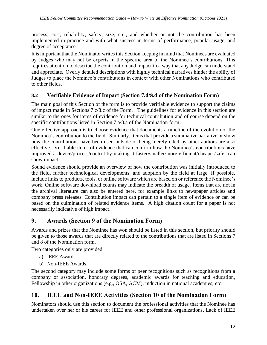process, cost, reliability, safety, size, etc., and whether or not the contribution has been implemented in practice and with what success in terms of performance, popular usage, and degree of acceptance.

It is important that the Nominator writes this Section keeping in mind that Nominees are evaluated by Judges who may not be experts in the specific area of the Nominee's contributions. This requires attention to describe the contribution and impact in a way that any Judge can understand and appreciate. Overly detailed descriptions with highly technical narratives hinder the ability of Judges to place the Nominee's contributions in context with other Nominations who contributed to other fields.

## <span id="page-12-0"></span>**8.2 Verifiable Evidence of Impact (Section 7.d/8.d of the Nomination Form)**

The main goal of this Section of the form is to provide verifiable evidence to support the claims of impact made in Sections 7.c/8.c of the Form. The guidelines for evidence in this section are similar to the ones for items of evidence for technical contribution and of course depend on the specific contributions listed in Section 7.a/8.a of the Nomination form.

One effective approach is to choose evidence that documents a timeline of the evolution of the Nominee's contribution to the field. Similarly, items that provide a summative narrative or show how the contributions have been used outside of being merely cited by other authors are also effective. Verifiable items of evidence that can confirm how the Nominee's contributions have improved a device/process/control by making it faster/smaller/more efficient/cheaper/safer can show impact.

Sound evidence should provide an overview of how the contribution was initially introduced to the field, further technological developments, and adoption by the field at large. If possible, include links to products, tools, or online software which are based on or reference the Nominee's work. Online software download counts may indicate the breadth of usage. Items that are not in the archival literature can also be entered here, for example links to newspaper articles and company press releases. Contribution impact can pertain to a single item of evidence or can be based on the culmination of related evidence items. A high citation count for a paper is not necessarily indicative of high impact.

# <span id="page-12-1"></span>**9. Awards (Section 9 of the Nomination Form)**

Awards and prizes that the Nominee has won should be listed in this section, but priority should be given to those awards that are directly related to the contributions that are listed in Sections 7 and 8 of the Nomination form.

Two categories only are provided:

- a) IEEE Awards
- b) Non-IEEE Awards

The second category may include some forms of peer recognitions such as recognitions from a company or association, honorary degrees, academic awards for teaching and education, Fellowship in other organizations (e.g., OSA, ACM), induction in national academies, etc.

## <span id="page-12-2"></span>**10. IEEE and Non-IEEE Activities (Section 10 of the Nomination Form)**

Nominators should use this section to document the professional activities that the Nominee has undertaken over her or his career for IEEE and other professional organizations. Lack of IEEE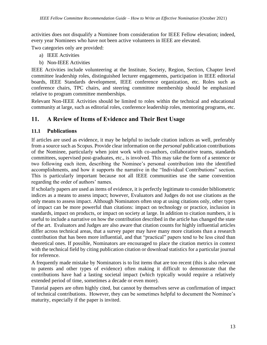activities does not disqualify a Nominee from consideration for IEEE Fellow elevation; indeed, every year Nominees who have not been active volunteers in IEEE are elevated.

Two categories only are provided:

- a) IEEE Activities
- b) Non-IEEE Activities

IEEE Activities include volunteering at the Institute, Society, Region, Section, Chapter level committee leadership roles, distinguished lecturer engagements, participation in IEEE editorial boards, IEEE Standards development, IEEE conference organization, etc. Roles such as conference chairs, TPC chairs, and steering committee membership should be emphasized relative to program committee memberships.

Relevant Non-IEEE Activities should be limited to roles within the technical and educational community at large, such as editorial roles, conference leadership roles, mentoring programs, etc.

# <span id="page-13-0"></span>**11. A Review of Items of Evidence and Their Best Usage**

# <span id="page-13-1"></span>**11.1 Publications**

If articles are used as evidence, it may be helpful to include citation indices as well, preferably from a source such as Scopus. Provide clear information on the *personal* publication contributions of the Nominee, particularly when joint work with co-authors, collaborative teams, standards committees, supervised post-graduates, etc., is involved. This may take the form of a sentence or two following each item, describing the Nominee's personal contribution into the identified accomplishments, and how it supports the narrative in the "Individual Contributions" section. This is particularly important because not all IEEE communities use the same convention regarding the order of authors' names.

If scholarly papers are used as items of evidence, it is perfectly legitimate to consider bibliometric indices as a means to assess impact; however, Evaluators and Judges do not use citations as the only means to assess impact. Although Nominators often stop at using citations only, other types of impact can be more powerful than citations: impact on technology or practice, inclusion in standards, impact on products, or impact on society at large. In addition to citation numbers, it is useful to include a narrative on how the contribution described in the article has changed the state of the art. Evaluators and Judges are also aware that citation counts for highly influential articles differ across technical areas, that a survey paper may have many more citations than a research contribution that has been more influential, and that "practical" papers tend to be less cited than theoretical ones. If possible, Nominators are encouraged to place the citation metrics in context with the technical field by citing publication citation or download statistics for a particular journal for reference.

A frequently made mistake by Nominators is to list items that are too recent (this is also relevant to patents and other types of evidence) often making it difficult to demonstrate that the contributions have had a lasting societal impact (which typically would require a relatively extended period of time, sometimes a decade or even more).

Tutorial papers are often highly cited, but cannot by themselves serve as confirmation of impact of technical contributions. However, they can be sometimes helpful to document the Nominee's maturity, especially if the paper is invited.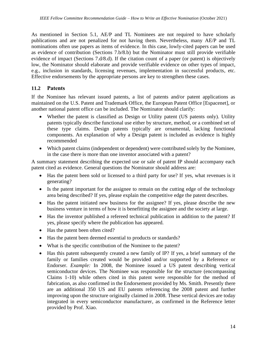As mentioned in Section [5.1,](#page-5-1) AE/P and TL Nominees are not required to have scholarly publications and are not penalized for not having them. Nevertheless, many AE/P and TL nominations often use papers as items of evidence. In this case, lowly-cited papers can be used as evidence of contribution (Sections 7.b/8.b) but the Nominator must still provide verifiable evidence of impact (Sections 7.d/8.d). If the citation count of a paper (or patent) is objectively low, the Nominator should elaborate and provide verifiable evidence on other types of impact, e.g., inclusion in standards, licensing revenues, implementation in successful products, etc. Effective endorsements by the appropriate persons are key to strengthen these cases.

# <span id="page-14-0"></span>**11.2 Patents**

If the Nominee has relevant issued patents, a list of patents and/or patent applications as maintained on the U.S. Patent and Trademark Office, the European Patent Office [Espacenet], or another national patent office can be included. The Nominator should clarify:

- Whether the patent is classified as Design or Utility patent (US patents only). Utility patents typically describe functional use either by structure, method, or a combined set of these type claims. Design patents typically are ornamental, lacking functional components. An explanation of why a Design patent is included as evidence is highly recommended
- Which patent claims (independent or dependent) were contributed solely by the Nominee, in the case there is more than one inventor associated with a patent?

A summary statement describing the expected use or sale of patent IP should accompany each patent cited as evidence. General questions the Nominator should address are:

- Has the patent been sold or licensed to a third party for use? If yes, what revenues is it generating?
- Is the patent important for the assignee to remain on the cutting edge of the technology area being described? If yes, please explain the competitive edge the patent describes.
- Has the patent initiated new business for the assignee? If yes, please describe the new business venture in terms of how it is benefitting the assignee and the society at large.
- Has the inventor published a refereed technical publication in addition to the patent? If yes, please specify where the publication has appeared.
- Has the patent been often cited?
- Has the patent been deemed essential to products or standards?
- What is the specific contribution of the Nominee to the patent?
- Has this patent subsequently created a new family of IP? If yes, a brief summary of the family or families created would be provided and/or supported by a Reference or Endorser. *Example:* In 2008, the Nominee issued a US patent describing vertical semiconductor devices. The Nominee was responsible for the structure (encompassing Claims 1-10) while others cited in this patent were responsible for the method of fabrication, as also confirmed in the Endorsement provided by Ms. Smith. Presently there are an additional 350 US and EU patents referencing the 2008 patent and further improving upon the structure originally claimed in 2008. These vertical devices are today integrated in every semiconductor manufacturer, as confirmed in the Reference letter provided by Prof. Xiao.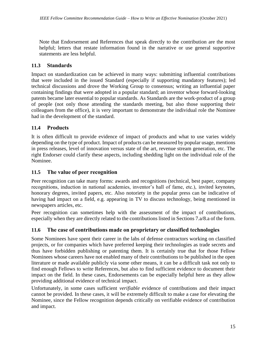Note that Endorsement and References that speak directly to the contribution are the most helpful; letters that restate information found in the narrative or use general supportive statements are less helpful.

# <span id="page-15-0"></span>**11.3 Standards**

Impact on standardization can be achieved in many ways: submitting influential contributions that were included in the issued Standard (especially if supporting mandatory features); led technical discussions and drove the Working Group to consensus; writing an influential paper containing findings that were adopted in a popular standard; an inventor whose forward-looking patents became later essential to popular standards. As Standards are the work-product of a group of people (not only those attending the standards meeting, but also those supporting their colleagues from the office), it is very important to demonstrate the individual role the Nominee had in the development of the standard.

# <span id="page-15-1"></span>**11.4 Products**

It is often difficult to provide evidence of impact of products and what to use varies widely depending on the type of product. Impact of products can be measured by popular usage, mentions in press releases, level of innovation versus state of the art, revenue stream generation, etc. The right Endorser could clarify these aspects, including shedding light on the individual role of the Nominee.

# <span id="page-15-2"></span>**11.5 The value of peer recognition**

Peer recognition can take many forms: awards and recognitions (technical, best paper, company recognitions, induction in national academies, inventor's hall of fame, etc.), invited keynotes, honorary degrees, invited papers, etc. Also notoriety in the popular press can be indicative of having had impact on a field, e.g. appearing in TV to discuss technology, being mentioned in newspapers articles, etc.

Peer recognition can sometimes help with the assessment of the impact of contributions, especially when they are directly related to the contributions listed in Sections 7.a/8.a of the form.

## <span id="page-15-3"></span>**11.6 The case of contributions made on proprietary or classified technologies**

Some Nominees have spent their career in the labs of defense contractors working on classified projects, or for companies which have preferred keeping their technologies as trade secrets and thus have forbidden publishing or patenting them. It is certainly true that for those Fellow Nominees whose careers have not enabled many of their contributions to be published in the open literature or made available publicly via some other means, it can be a difficult task not only to find enough Fellows to write References, but also to find sufficient evidence to document their impact on the field. In these cases, Endorsements can be especially helpful here as they allow providing additional evidence of technical impact.

Unfortunately, in some cases sufficient *verifiable* evidence of contributions and their impact cannot be provided. In these cases, it will be extremely difficult to make a case for elevating the Nominee, since the Fellow recognition depends critically on verifiable evidence of contribution and impact.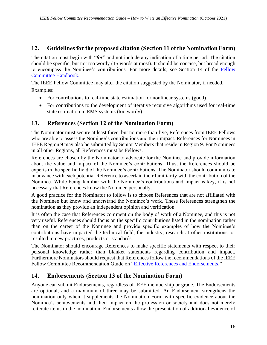# <span id="page-16-0"></span>**12. Guidelines for the proposed citation (Section 11 of the Nomination Form)**

The citation must begin with "*for*" and not include any indication of a time period. The citation should be specific, but not too wordy (15 words at most). It should be concise, but broad enough to encompass the Nominee's contributions. For more details, see Section 14 of the [Fellow](https://www.ieee.org/content/dam/ieee-org/ieee/web/org/about/fellows/fellow-committee/fellow-commitee-handbook.pdf)  [Committee Handbook.](https://www.ieee.org/content/dam/ieee-org/ieee/web/org/about/fellows/fellow-committee/fellow-commitee-handbook.pdf)

The IEEE Fellow Committee may alter the citation suggested by the Nominator, if needed. Examples:

- For contributions to real-time state estimation for nonlinear systems (good).
- For contributions to the development of iterative recursive algorithms used for real-time state estimation in EMS systems (too wordy).

# <span id="page-16-1"></span>**13. References (Section 12 of the Nomination Form)**

The Nominator must secure at least three, but no more than five, References from IEEE Fellows who are able to assess the Nominee's contributions and their impact. References for Nominees in IEEE Region 9 may also be submitted by Senior Members that reside in Region 9. For Nominees in all other Regions, all References must be Fellows.

References are chosen by the Nominator to advocate for the Nominee and provide information about the value and impact of the Nominee's contributions. Thus, the References should be experts in the specific field of the Nominee's contributions. The Nominator should communicate in advance with each potential Reference to ascertain their familiarity with the contribution of the Nominee. While being familiar with the Nominee's contributions and impact is key, it is not necessary that References know the Nominee personally.

A good practice for the Nominator to follow is to choose References that are not affiliated with the Nominee but know and understand the Nominee's work. These References strengthen the nomination as they provide an independent opinion and verification.

It is often the case that References comment on the body of work of a Nominee, and this is not very useful. References should focus on the specific contributions listed in the nomination rather than on the career of the Nominee and provide specific examples of how the Nominee's contributions have impacted the technical field, the industry, research at other institutions, or resulted in new practices, products or standards.

The Nominator should encourage References to make specific statements with respect to their personal knowledge rather than blanket statements regarding contribution and impact. Furthermore Nominators should request that References follow the recommendations of the IEEE Fellow Committee Recommendation Guide on ["Effective References and Endorsements.](https://www.ieee.org/content/dam/ieee-org/ieee/web/org/about/fellows/fellows-references-endorsements-guide.pdf)"

# <span id="page-16-2"></span>**14. Endorsements (Section 13 of the Nomination Form)**

Anyone can submit Endorsements, regardless of IEEE membership or grade. The Endorsements are optional, and a maximum of three may be submitted. An Endorsement strengthens the nomination only when it supplements the Nomination Form with specific evidence about the Nominee's achievements and their impact on the profession or society and does not merely reiterate items in the nomination. Endorsements allow the presentation of additional evidence of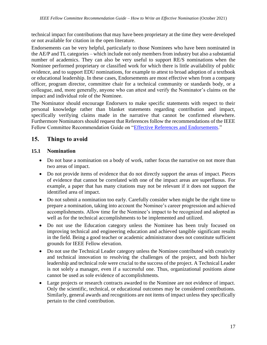technical impact for contributions that may have been proprietary at the time they were developed or not available for citation in the open literature.

Endorsements can be very helpful, particularly to those Nominees who have been nominated in the AE/P and TL categories – which include not only members from industry but also a substantial number of academics. They can also be very useful to support RE/S nominations when the Nominee performed proprietary or classified work for which there is little availability of public evidence, and to support EDU nominations, for example to attest to broad adoption of a textbook or educational leadership. In these cases, Endorsements are most effective when from a company officer, program director, committee chair for a technical community or standards body, or a colleague, and, more generally, anyone who can attest and verify the Nominator's claims on the impact and individual role of the Nominee.

<span id="page-17-0"></span>The Nominator should encourage Endorsers to make specific statements with respect to their personal knowledge rather than blanket statements regarding contribution and impact, specifically verifying claims made in the narrative that cannot be confirmed elsewhere. Furthermore Nominators should request that References follow the recommendations of the IEEE Fellow Committee Recommendation Guide on ["Effective References and Endorsements.](https://www.ieee.org/content/dam/ieee-org/ieee/web/org/about/fellows/fellows-references-endorsements-guide.pdf)"

# **15. Things to avoid**

## <span id="page-17-1"></span>**15.1 Nomination**

- Do not base a nomination on a body of work, rather focus the narrative on not more than two areas of impact.
- Do not provide items of evidence that do not directly support the areas of impact. Pieces of evidence that cannot be correlated with one of the impact areas are superfluous. For example, a paper that has many citations may not be relevant if it does not support the identified area of impact.
- Do not submit a nomination too early. Carefully consider when might be the right time to prepare a nomination, taking into account the Nominee's career progression and achieved accomplishments. Allow time for the Nominee's impact to be recognized and adopted as well as for the technical accomplishments to be implemented and utilized.
- Do not use the Education category unless the Nominee has been truly focused on improving technical and engineering education and achieved tangible significant results in the field. Being a good teacher or academic administrator does not constitute sufficient grounds for IEEE Fellow elevation.
- Do not use the Technical Leader category unless the Nominee contributed with creativity and technical innovation to resolving the challenges of the project, and both his/her leadership and technical role were crucial to the success of the project. A Technical Leader is not solely a manager, even if a successful one. Thus, organizational positions alone cannot be used as sole evidence of accomplishments.
- Large projects or research contracts awarded to the Nominee are not evidence of impact. Only the scientific, technical, or educational outcomes may be considered contributions. Similarly, general awards and recognitions are not items of impact unless they specifically pertain to the cited contribution.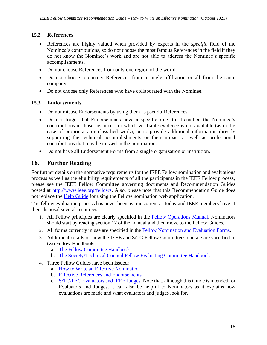## <span id="page-18-0"></span>**15.2 References**

- References are highly valued when provided by experts in the *specific* field of the Nominee's contributions, so do not choose the most famous References in the field if they do not know the Nominee's work and are not able to address the Nominee's specific accomplishments.
- Do not choose References from only one region of the world.
- Do not choose too many References from a single affiliation or all from the same company.
- Do not choose only References who have collaborated with the Nominee.

## <span id="page-18-1"></span>**15.3 Endorsements**

- Do not misuse Endorsements by using them as pseudo-References.
- Do not forget that Endorsements have a specific role: to strengthen the Nominee's contributions in those instances for which verifiable evidence is not available (as in the case of proprietary or classified work), or to provide additional information directly supporting the technical accomplishments or their impact as well as professional contributions that may be missed in the nomination.
- Do not have all Endorsement Forms from a single organization or institution.

# <span id="page-18-2"></span>**16. Further Reading**

For further details on the normative requirements for the IEEE Fellow nomination and evaluations process as well as the eligibility requirements of all the participants in the IEEE Fellow process, please see the IEEE Fellow Committee governing documents and Recommendation Guides posted at [http://www.ieee.org/fellows.](http://www.ieee.org/fellows) Also, please note that this Recommendation Guide does not replace the [Help Guide](file:///C:/StefanoGalli/Activities-IEEE/IEEE-FEC/Fellows-Operations-Manual/2016-Pending/RG%20-%20Effective%20nominations/HelpGuide_Draft01062017.docx) for using the Fellow nomination web application.

The fellow evaluation process has never been as transparent as today and IEEE members have at their disposal several resources:

- 1. All Fellow principles are clearly specified in the [Fellow Operations Manual.](https://www.ieee.org/content/dam/ieee-org/ieee/web/org/govern/fellow_operations_manual.pdf) Nominators should start by reading section 17 of the manual and then move to the Fellow Guides.
- 2. All forms currently in use are specified in the [Fellow Nomination and Evaluation Forms.](https://www.ieee.org/content/dam/ieee-org/ieee/web/org/about/fellows/nomination-and-evaluation-forms.pdf)
- 3. Additional details on how the IEEE and S/TC Fellow Committees operate are specified in two Fellow Handbooks:
	- a. [The Fellow Committee Handbook](https://www.ieee.org/content/dam/ieee-org/ieee/web/org/about/fellows/fellow-committee/fellow-commitee-handbook.pdf)
	- b. [The Society/Technical Council Fellow Evaluating Committee Handbook](https://www.ieee.org/content/dam/ieee-org/ieee/web/org/about/fellows/fellow-committee/fellow-commitee-handbook-society-tech-eval.pdf)
- 4. Three Fellow Guides have been Issued:
	- a. [How to Write an Effective Nomination](https://www.ieee.org/content/dam/ieee-org/ieee/web/org/about/fellows/fellows-nominations.pdf)
	- b. [Effective References and Endorsements](https://www.ieee.org/content/dam/ieee-org/ieee/web/org/about/fellows/fellows-references-endorsements-guide.pdf)
	- c. [S/TC-FEC Evaluators and IEEE Judges.](https://www.ieee.org/content/dam/ieee-org/ieee/web/org/about/fellows/fellows-evaluators-judges.pdf) Note that, although this Guide is intended for Evaluators and Judges, it can also be helpful to Nominators as it explains how evaluations are made and what evaluators and judges look for.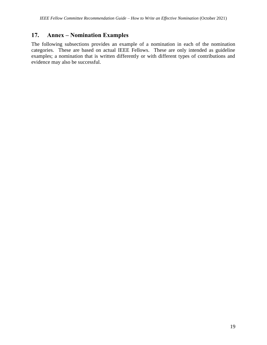# <span id="page-19-0"></span>**17. Annex – Nomination Examples**

The following subsections provides an example of a nomination in each of the nomination categories. These are based on actual IEEE Fellows. These are only intended as guideline examples; a nomination that is written differently or with different types of contributions and evidence may also be successful.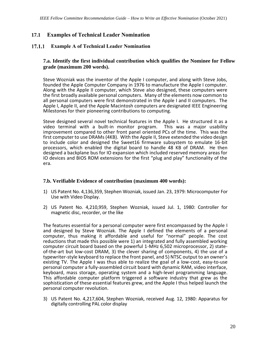### <span id="page-20-0"></span>**17.1 Examples of Technical Leader Nomination**

#### <span id="page-20-1"></span> $17.1.1$ **Example A of Technical Leader Nomination**

#### **7.a. Identify the first individual contribution which qualifies the Nominee for Fellow grade (maximum 200 words).**

Steve Wozniak was the inventor of the Apple I computer, and along with Steve Jobs, founded the Apple Computer Company in 1976 to manufacture the Apple I computer. Along with the Apple II computer, which Steve also designed, these computers were the first broadly available personal computers. Many of the elements now common to all personal computers were first demonstrated in the Apple I and II computers. The Apple I, Apple II, and the Apple Macintosh computers are designated IEEE Engineering Milestones for their pioneering contributions to computing.

Steve designed several novel technical features in the Apple I. He structured it as a video terminal with a built-in monitor program. This was a major usability improvement compared to other front panel oriented PCs of the time. This was the first computer to use DRAMs (4KB). With the Apple II, Steve extended the video design to include color and designed the Sweet16 firmware subsystem to emulate 16-bit processors, which enabled the digital board to handle 48 KB of DRAM. He then designed a backplane bus for IO expansion which included reserved memory areas for IO devices and BIOS ROM extensions for the first "plug and play" functionality of the era.

#### **7.b. Verifiable Evidence of contribution (maximum 400 words):**

- 1) US Patent No. 4,136,359, Stephen Wozniak, issued Jan. 23, 1979: Microcomputer For Use with Video Display.
- 2) US Patent No. 4,210,959, Stephen Wozniak, issued Jul. 1, 1980: Controller for magnetic disc, recorder, or the like

The features essential for a personal computer were first encompassed by the Apple I and designed by Steve Wozniak. The Apple I defined the elements of a personal computer, thus making it affordable and useful for "normal" people. The cost reductions that made this possible were 1) an integrated and fully assembled working computer circuit board based on the powerful 1-MHz 6,502 microprocessor, 2) stateof-the-art but low-cost DRAM, 3) the clever sharing of components, 4) the use of a typewriter-style keyboard to replace the front panel, and 5) NTSC output to an owner's existing TV. The Apple I was thus able to realize the goal of a low-cost, easy-to-use personal computer a fully-assembled circuit board with dynamic RAM, video interface, keyboard, mass storage, operating system and a high-level programming language. This affordable computer platform triggered a software industry that grew as the sophistication of these essential features grew, and the Apple I thus helped launch the personal computer revolution.

3) US Patent No. 4,217,604, Stephen Wozniak, received Aug. 12, 1980: Apparatus for digitally controlling PAL color display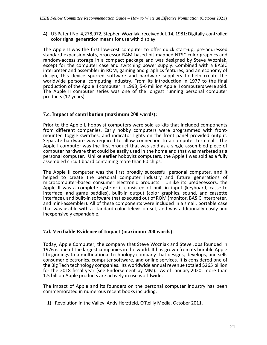4) US Patent No. 4,278,972, Stephen Wozniak, received Jul. 14, 1981: Digitally-controlled color signal generation means for use with display

The Apple II was the first low-cost computer to offer quick start-up, pre-addressed standard expansion slots, processor RAM-based bit-mapped NTSC color graphics and random-access storage in a compact package and was designed by Steve Wozniak, except for the computer case and switching power supply. Combined with a BASIC interpreter and assembler in ROM, gaming and graphics features, and an economy of design, this device spurred software and hardware suppliers to help create the worldwide personal computing industry. From its introduction in 1977 to the final production of the Apple II computer in 1993, 5-6 million Apple II computers were sold. The Apple II computer series was one of the longest running personal computer products (17 years).

#### **7.c. Impact of contribution (maximum 200 words):**

Prior to the Apple I, hobbyist computers were sold as kits that included components from different companies. Early hobby computers were programmed with frontmounted toggle switches, and indicator lights on the front panel provided output. Separate hardware was required to allow connection to a computer terminal. The Apple I computer was the first product that was sold as a single assembled piece of computer hardware that could be easily used in the home and that was marketed as a personal computer. Unlike earlier hobbyist computers, the Apple I was sold as a fully assembled circuit board containing more than 60 chips.

The Apple II computer was the first broadly successful personal computer, and it helped to create the personal computer industry and future generations of microcomputer-based consumer electronic products. Unlike its predecessors, the Apple II was a complete system: it consisted of built-in input (keyboard, cassette interface, and game paddles), built-in output (color graphics, sound, and cassette interface), and built-in software that executed out of ROM (monitor, BASIC interpreter, and mini-assembler). All of these components were included in a small, portable case that was usable with a standard color television set, and was additionally easily and inexpensively expandable.

#### **7.d. Verifiable Evidence of Impact (maximum 200 words):**

Today, Apple Computer, the company that Steve Wozniak and Steve Jobs founded in 1976 is one of the largest companies in the world. It has grown from its humble Apple I beginnings to a multinational technology company that designs, develops, and sells consumer electronics, computer software, and online services. It is considered one of the Big Tech technology companies. Its worldwide annual revenue totaled \$265 billion for the 2018 fiscal year (see Endorsement by MM). As of January 2020, more than 1.5 billion Apple products are actively in use worldwide.

The impact of Apple and its founders on the personal computer industry has been commemorated in numerous recent books including:

1) Revolution in the Valley, Andy Herztfeld, O'Reilly Media, October 2011.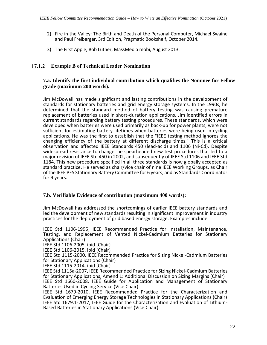- 2) Fire in the Valley: The Birth and Death of the Personal Computer, Michael Swaine and Paul Freiberger, 3rd Edition, Pragmatic Bookshelf, October 2014.
- 3) The First Apple, Bob Luther, MassMedia mobi, August 2013.

#### **Example B of Technical Leader Nomination**

#### **7.a. Identify the first individual contribution which qualifies the Nominee for Fellow grade (maximum 200 words).**

Jim McDowall has made significant and lasting contributions in the development of standards for stationary batteries and grid energy storage systems. In the 1990s, he determined that the standard method of battery testing was causing premature replacement of batteries used in short-duration applications. Jim identified errors in current standards regarding battery testing procedures. These standards, which were developed when batteries were used primarily as back-up for power plants, were not sufficient for estimating battery lifetimes when batteries were being used in cycling applications. He was the first to establish that the "IEEE testing method ignores the changing efficiency of the battery at different discharge times." This is a critical observation and affected IEEE Standards 450 (lead-acid) and 1106 (Ni-Cd). Despite widespread resistance to change, he spearheaded new test procedures that led to a major revision of IEEE Std 450 in 2002, and subsequently of IEEE Std 1106 and IEEE Std 1184. This new procedure specified in all three standards is now globally accepted as standard practice. He served as chair/vice chair of nine IEEE Working Groups, as Chair of the IEEE PES Stationary Battery Committee for 6 years, and as Standards Coordinator for 9 years.

#### **7.b. Verifiable Evidence of contribution (maximum 400 words):**

Jim McDowall has addressed the shortcomings of earlier IEEE battery standards and led the development of new standards resulting in significant improvement in industry practices for the deployment of grid based energy storage. Examples include:

IEEE Std 1106-1995, IEEE Recommended Practice for Installation, Maintenance, Testing, and Replacement of Vented Nickel-Cadmium Batteries for Stationary Applications (Chair)

IEEE Std 1106-2005, ibid (Chair)

IEEE Std 1106-2015, ibid (Chair)

IEEE Std 1115-2000, IEEE Recommended Practice for Sizing Nickel-Cadmium Batteries for Stationary Applications (Chair)

IEEE Std 1115-2014, ibid (Chair)

IEEE Std 1115a-2007, IEEE Recommended Practice for Sizing Nickel-Cadmium Batteries for Stationary Applications, Amend 1: Additional Discussion on Sizing Margins (Chair) IEEE Std 1660-2008, IEEE Guide for Application and Management of Stationary Batteries Used in Cycling Service (Vice Chair)

IEEE Std 1679-2010, IEEE Recommended Practice for the Characterization and Evaluation of Emerging Energy Storage Technologies in Stationary Applications (Chair) IEEE Std 1679.1-2017, IEEE Guide for the Characterization and Evaluation of Lithium-Based Batteries in Stationary Applications (Vice Chair)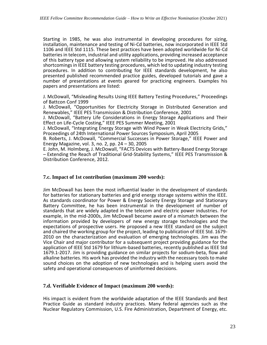Starting in 1985, he was also instrumental in developing procedures for sizing, installation, maintenance and testing of Ni-Cd batteries, now incorporated in IEEE Std 1106 and IEEE Std 1115. These best practices have been adopted worldwide for Ni-Cd batteries in telecom, industrial and utility applications, providing increased acceptance of this battery type and allowing system reliability to be improved. He also addressed shortcomings in IEEE battery testing procedures, which led to updating industry testing procedures. In addition to contributing for IEEE standards development, he also presented published recommended practice guides, developed tutorials and gave a number of presentations at events geared for practicing engineers. Examples his papers and presentations are listed:

J. McDowall, "Misleading Results Using IEEE Battery Testing Procedures," Proceedings of Battcon Conf 1999

J. McDowall, "Opportunities for Electricity Storage in Distributed Generation and Renewables," IEEE PES Transmission & Distribution Conference, 2001

J. McDowall, "Battery Life Considerations in Energy Storage Applications and Their Effect on Life-Cycle Costing," IEEE PES Summer Meeting, 2001

J. McDowall, "Integrating Energy Storage with Wind Power in Weak Electricity Grids," Proceedings of 24th International Power Sources Symposium, April 2005

B. Roberts, J. McDowall, "Commercial Successes in Power Storage," IEEE Power and Energy Magazine, vol. 3, no. 2, pp. 24 – 30, 2005

E. John, M. Holmberg, J. McDowall, "FACTS Devices with Battery-Based Energy Storage – Extending the Reach of Traditional Grid-Stability Systems," IEEE PES Transmission & Distribution Conference, 2012.

#### **7.c. Impact of 1st contribution (maximum 200 words):**

Jim McDowall has been the most influential leader in the development of standards for batteries for stationary batteries and grid energy storage systems within the IEEE. As standards coordinator for Power & Energy Society Energy Storage and Stationary Battery Committee, he has been instrumental in the development of number of standards that are widely adapted in the telecom and electric power industries. For example, in the mid-2000s, Jim McDowall became aware of a mismatch between the information provided by developers of new energy storage technologies and the expectations of prospective users. He proposed a new IEEE standard on the subject and chaired the working group for the project, leading to publication of IEEE Std. 1679- 2010 on the characterization and evaluation of emerging technologies. Jim was the Vice Chair and major contributor for a subsequent project providing guidance for the application of IEEE Std 1679 for lithium-based batteries, recently published as IEEE Std 1679.1-2017. Jim is providing guidance on similar projects for sodium-beta, flow and alkaline batteries. His work has provided the industry with the necessary tools to make sound choices on the adoption of new technologies and is helping users avoid the safety and operational consequences of uninformed decisions.

#### **7.d. Verifiable Evidence of Impact (maximum 200 words):**

His impact is evident from the worldwide adaptation of the IEEE Standards and Best Practice Guide as standard industry practices. Many federal agencies such as the Nuclear Regulatory Commission, U.S. Fire Administration, Department of Energy, etc.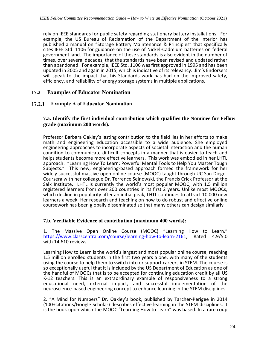rely on IEEE standards for public safety regarding stationary battery installations. For example, the US Bureau of Reclamation of the Department of the Interior has published a manual on "Storage Battery Maintenance & Principles" that specifically cites IEEE Std. 1106 for guidance on the use of Nickel-Cadmium batteries on federal government land. The importance of these standards is also evident in the number of times, over several decades, that the standards have been revised and updated rather than abandoned. For example, IEEE Std. 1106 was first approved in 1995 and has been updated in 2005 and again in 2015, which is indicative of its relevancy. Jim's Endorsers will speak to the impact that his Standards work has had on the improved safety, efficiency, and reliability of energy storage systems in multiple applications.

## <span id="page-24-0"></span>**17.2 Examples of Educator Nomination**

#### $17.2.1$ **Example A of Educator Nomination**

#### **7.a. Identify the first individual contribution which qualifies the Nominee for Fellow grade (maximum 200 words).**

Professor Barbara Oakley's lasting contribution to the field lies in her efforts to make math and engineering education accessible to a wide audience. She employed engineering approaches to incorporate aspects of societal interaction and the human condition to communicate difficult concepts in a manner that is easier to teach and helps students become more effective learners. This work was embodied in her LHTL approach: "Learning How To Learn: Powerful Mental Tools to Help You Master Tough Subjects." This new, engineering-based approach formed the framework for her widely successful massive open online course (MOOC) taught through UC San Diego-Coursera with her colleague Dr. Terrence Sejnowski, the Francis Crick Professor at the Salk Institute. LHTL is currently the world's most popular MOOC, with 1.5 million registered learners from over 200 countries in its first 2 years. Unlike most MOOCs, which decline in popularity after an initial peak, LHTL continues to attract 10,000 new learners a week. Her research and teaching on how to do robust and effective online coursework has been globally disseminated so that many others can design similarly

#### **7.b. Verifiable Evidence of contribution (maximum 400 words):**

1. The Massive Open Online Course (MOOC) "Learning How to Learn."<br>https://www.classcentral.com/course/learning-how-to-learn-2161. Rated 4.9/5.0 [https://www.classcentral.com/course/learning-how-to-learn-2161,](https://www.classcentral.com/course/learning-how-to-learn-2161) with 14,610 reviews.

Learning How to Learn is the world's largest and most popular online course, reaching 1.5 million enrolled students in the first two years alone, with many of the students using the course to help them to switch into or support careers in STEM. The course is so exceptionally useful that it is included by the US Department of Education as one of the handful of MOOCs that is to be accepted for continuing education credit by all US K-12 teachers. This is an extraordinary example of responsiveness to a strong educational need, external impact, and successful implementation of the neuroscience-based engineering concept to enhance learning in the STEM disciplines.

2. "A Mind for Numbers" Dr. Oakley's book, published by Tarcher-Perigee in 2014 (100+citations/Google Scholar) describes effective learning in the STEM disciplines. It is the book upon which the MOOC "Learning How to Learn" was based. In a rare coup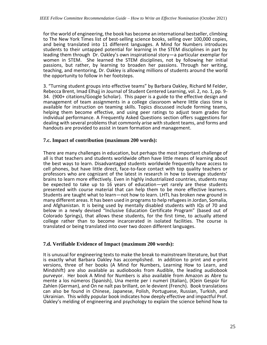for the world of engineering, the book has become an international bestseller, climbing to The New York Times list of best-selling science books, selling over 100,000 copies, and being translated into 11 different languages. A Mind for Numbers introduces students to their untapped potential for learning in the STEM disciplines in part by leading them through Dr. Oakley's own inspirational story—a particular exemplar for women in STEM. She learned the STEM disciplines, not by following her initial passions, but rather, by learning to broaden her passions. Through her writing, teaching, and mentoring, Dr. Oakley is allowing millions of students around the world the opportunity to follow in her footsteps.

3. "Turning student groups into effective teams" by Barbara Oakley, Richard M Felder, Rebecca Brent, Imad Elhajj in Journal of Student Centered Learning, vol. 2, no. 1, pp. 9- 34. (900+ citations/Google Scholar). This paper is a guide to the effective design and management of team assignments in a college classroom where little class time is available for instruction on teaming skills. Topics discussed include forming teams, helping them become effective, and using peer ratings to adjust team grades for individual performance. A Frequently Asked Questions section offers suggestions for dealing with several problems that commonly arise with student teams, and forms and handouts are provided to assist in team formation and management.

#### **7.c. Impact of contribution (maximum 200 words):**

There are many challenges in education, but perhaps the most important challenge of all is that teachers and students worldwide often have little means of learning about the best ways to learn. Disadvantaged students worldwide frequently have access to cell phones, but have little direct, face-to-face contact with top quality teachers or professors who are cognizant of the latest in research in how to leverage students' brains to learn more effectively. Even in highly industrialized countries, students may be expected to take up to 16 years of education—yet rarely are these students presented with course material that can help them to be more effective learners. Students are taught what to learn—not how to learn. LHTL has broken new ground in many different areas. It has been used in programs to help refugees in Jordan, Somalia, and Afghanistan. It is being used by mentally disabled students with IQs of 70 and below in a newly devised "Inclusive Education Certificate Program" (based out of Colorado Springs), that allows these students, for the first time, to actually attend college rather than to become incarcerated in isolated facilities. The course is translated or being translated into over two dozen different languages.

#### **7.d. Verifiable Evidence of Impact (maximum 200 words):**

It is unusual for engineering texts to make the break to mainstream literature, but that is exactly what Barbara Oakley has accomplished. In addition to print and e-print versions, three of her books (A Mind for Numbers, Learning How to Learn, and Mindshift) are also available as audiobooks from Audible, the leading audiobook purveyor. Her book A Mind for Numbers is also available from Amazon as Abre tu mente a los números (Spanish), Una mente per i numeri (Italian), (K)ein Gespür für Zahlen (German), and On ne naît pas brillant, on le devient (French). Book translations can also be found in Chinese, Japanese, Polish, Portuguese, Russian, Turkish, and Ukrainian. This wildly popular book indicates how deeply effective and impactful Prof. Oakley's melding of engineering and psychology to explain the science behind how to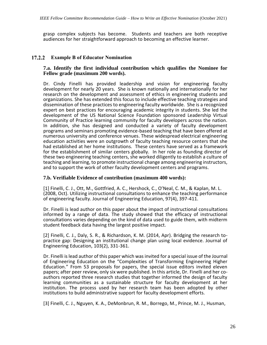grasp complex subjects has become. Students and teachers are both receptive audiences for her straightforward approach to becoming an effective learner.

#### $17.2.2$ **Example B of Educator Nomination**

#### **7.a. Identify the first individual contribution which qualifies the Nominee for Fellow grade (maximum 200 words).**

Dr. Cindy Finelli has provided leadership and vision for engineering faculty development for nearly 20 years. She is known nationally and internationally for her research on the development and assessment of ethics in engineering students and organizations. She has extended this focus to include effective teaching strategies and dissemination of these practices to engineering faculty worldwide. She is a recognized expert on best practices for encouraging academic integrity in students. She led the development of the US National Science Foundation sponsored Leadership Virtual Community of Practice learning community for faculty developers across the nation. In addition, she has designed and conducted a variety of faculty development programs and seminars promoting evidence-based teaching that have been offered at numerous university and conference venues. These widespread electrical engineering education activities were an outgrowth of faculty teaching resource centers that she had established at her home institutions. These centers have served as a framework for the establishment of similar centers globally. In her role as founding director of these two engineering teaching centers, she worked diligently to establish a culture of teaching and learning, to promote instructional change among engineering instructors, and to support the work of other faculty development centers and programs.

#### **7.b. Verifiable Evidence of contribution (maximum 400 words):**

[1] Finelli, C. J., Ott, M., Gottfried, A. C., Hershock, C., O'Neal, C. M., & Kaplan, M. L. (2008, Oct). Utilizing instructional consultations to enhance the teaching performance of engineering faculty. Journal of Engineering Education, 97(4), 397-411.

Dr. Finelli is lead author on this paper about the impact of instructional consultations informed by a range of data. The study showed that the efficacy of instructional consultations varies depending on the kind of data used to guide them, with midterm student feedback data having the largest positive impact.

[2] Finelli, C. J., Daly, S. R., & Richardson, K. M. (2014, Apr). Bridging the research topractice gap: Designing an institutional change plan using local evidence. Journal of Engineering Education, 103(2), 331-361.

Dr. Finelli is lead author of this paper which was invited for a special issue of the Journal of Engineering Education on the "Complexities of Transforming Engineering Higher Education." From 53 proposals for papers, the special issue editors invited eleven papers; after peer review, only six were published. In this article, Dr. Finelli and her coauthors reported three research studies that together informed the design of faculty learning communities as a sustainable structure for faculty development at her institution. The process used by her research team has been adopted by other institutions to build administrative support for faculty development efforts.

[3] Finelli, C. J., Nguyen, K. A., DeMonbrun, R. M., Borrego, M., Prince, M. J., Husman,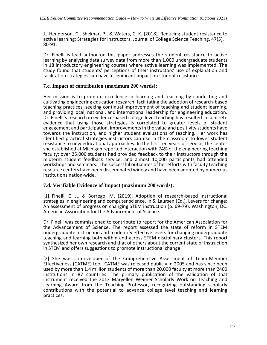J., Henderson, C., Shekhar, P., & Waters, C. K. (2018). Reducing student resistance to active learning: Strategies for instructors. Journal of College Science Teaching, 47(5), 80-91.

Dr. Finelli is lead author on this paper addresses the student resistance to active learning by analyzing data survey data from more than 1,000 undergraduate students in 18 introductory engineering courses where active learning was implemented. The study found that students' perceptions of their instructors' use of explanation and facilitation strategies can have a significant impact on student resistance.

#### **7.c. Impact of contribution (maximum 200 words):**

Her mission is to promote excellence in learning and teaching by conducting and cultivating engineering education research, facilitating the adoption of research-based teaching practices, seeking continual improvement of teaching and student learning, and providing local, national, and international leadership for engineering education. Dr. Finelli's research in evidence-based college level teaching has resulted in concrete evidence that using those strategies is correlated to greater levels of student engagement and participation, improvements in the value and positivity students have towards the instruction, and higher student evaluations of teaching. Her work has identified practical strategies instructors can use in the classroom to lower student resistance to new educational approaches. In the first ten years of service, the center she established at Michigan reported interaction with 74% of the engineering teaching faculty; over 25,000 students had provided feedback to their instructors through the midterm student feedback service; and almost 10,000 participants had attended workshops and seminars. The successful outcomes of her efforts with faculty teaching resource centers have been disseminated widely and have been adopted by numerous institutions nation-wide.

#### **7.d. Verifiable Evidence of Impact (maximum 200 words):**

[1] Finelli, C. J., & Borrego, M. (2019). Adoption of research-based instructional strategies in engineering and computer science. In S. Laursen (Ed.), Levers for change: An assessment of progress on changing STEM instruction (p. 69-79). Washington, DC: American Association for the Advancement of Science.

Dr. Finelli was commissioned to contribute to report for the American Association for the Advancement of Science. The report assessed the state of reform in STEM undergraduate instruction and to identify effective levers for changing undergraduate teaching and learning both within and across STEM disciplinary clusters. This report synthesized her own research and that of others about the current state of instruction in STEM and offers suggestions to promote instructional change.

[2] She was co-developer of the Comprehensive Assessment of Team-Member Effectiveness (CATME) tool. CATME was released publicly in 2005 and has since been used by more than 1.4 million students of more than 20,000 faculty at more than 2400 institutions in 87 countries. The primary publication of the validation of that instrument received the 2013 Maryellen Weimer Scholarly Work on Teaching and Learning Award from the Teaching Professor, recognizing outstanding scholarly contributions with the potential to advance college level teaching and learning practices.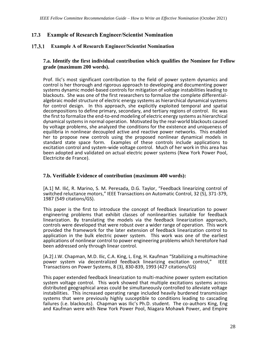### <span id="page-28-0"></span>**17.3 Example of Research Engineer/Scientist Nomination**

#### $17.3.1$ **Example A of Research Engineer/Scientist Nomination**

#### **7.a. Identify the first individual contribution which qualifies the Nominee for Fellow grade (maximum 200 words).**

Prof. Ilic's most significant contribution to the field of power system dynamics and control is her thorough and rigorous approach to developing and documenting power systems dynamic model-based controls for mitigation of voltage instabilities leading to blackouts. She was one of the first researchers to formalize the complete differentialalgebraic model structure of electric energy systems as hierarchical dynamical systems for control design. In this approach, she explicitly exploited temporal and spatial decompositions to define primary, secondary, and tertiary regions of control. Ilic was the first to formalize the end-to-end modeling of electric energy systems as hierarchical dynamical systems in normal operation. Motivated by the real-world blackouts caused by voltage problems, she analyzed the conditions for the existence and uniqueness of equilibria in nonlinear decoupled active and reactive power networks. This enabled her to propose new controls using the proposed nonlinear dynamical models in standard state space form. Examples of these controls include applications to excitation control and system-wide voltage control. Much of her work in this area has been adopted and validated on actual electric power systems (New York Power Pool, Electricite de France).

#### **7.b. Verifiable Evidence of contribution (maximum 400 words):**

[A.1] M. Ilić, R. Marino, S. M. Peresada, D.G. Taylor, "Feedback linearizing control of switched reluctance motors," IEEE Transactions on Automatic Control, 32 (5), 371-379, 1987 (549 citations/GS).

This paper is the first to introduce the concept of feedback linearization to power engineering problems that exhibit classes of nonlinearities suitable for feedback linearization. By translating the models via the feedback linearization approach, controls were developed that were robust over a wider range of operation. This work provided the framework for the later extension of feedback linearization control to application in the bulk electric power system. This work was one of the earliest applications of nonlinear control to power engineering problems which heretofore had been addressed only through linear control.

[A.2] J.W. Chapman, M.D. Ilic, C.A. King, L. Eng, H. Kaufman "Stabilizing a multimachine power system via decentralized feedback linearizing excitation control," Transactions on Power Systems, 8 (3), 830-839, 1993 (427 citations/GS)

This paper extended feedback linearization to multi-machine power system excitation system voltage control. This work showed that multiple excitations systems across distributed geographical areas could be simultaneously controlled to alleviate voltage instabilities. This increased operating range included heavily burdened transmission systems that were previously highly susceptible to conditions leading to cascading failures (i.e. blackouts). Chapman was Ilic's Ph.D. student. The co-authors King, Eng and Kaufman were with New York Power Pool, Niagara Mohawk Power, and Empire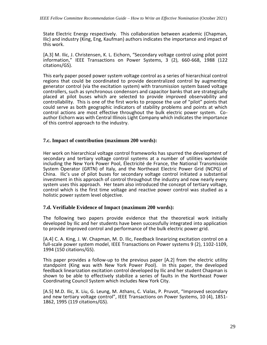State Electric Energy respectively. This collaboration between academic (Chapman, Ilic) and industry (King, Eng, Kaufman) authors indicates the importance and impact of this work.

[A.3] M. Ilic, J. Christensen, K. L. Eichorn, "Secondary voltage control using pilot point information," IEEE Transactions on Power Systems, 3 (2), 660-668, 1988 (122 citations/GS).

This early paper posed power system voltage control as a series of hierarchical control regions that could be coordinated to provide decentralized control by augmenting generator control (via the excitation system) with transmission system based voltage controllers, such as synchronous condensors and capacitor banks that are strategically placed at pilot buses which are selected to provide improved observability and controllability. This is one of the first works to propose the use of "pilot" points that could serve as both geographic indicators of stability problems and points at which control actions are most effective throughout the bulk electric power system. Coauthor Eichorn was with Central Illinois Light Company which indicates the importance of this control approach to the industry.

#### **7.c. Impact of contribution (maximum 200 words):**

Her work on hierarchical voltage control frameworks has spurred the development of secondary and tertiary voltage control systems at a number of utilities worldwide including the New York Power Pool, Électricité de France, the National Transmission System Operator (GRTN) of Italy, and the Northeast Electric Power Grid (NCPG) of China. Ilic's use of pilot buses for secondary voltage control initiated a substantial investment in this approach of control throughout the industry and now nearly every system uses this approach. Her team also introduced the concept of tertiary voltage, control which is the first time voltage and reactive power control was studied as a holistic power system level objective.

#### **7.d. Verifiable Evidence of Impact (maximum 200 words):**

The following two papers provide evidence that the theoretical work initially developed by Ilic and her students have been successfully integrated into application to provide improved control and performance of the bulk electric power grid.

[A.4] C. A. King, J. W. Chapman, M. D. Ilic, [Feedback linearizing excitation control on a](javascript:void(0))  [full-scale power system model,](javascript:void(0)) IEEE Transactions on Power systems 9 (2), 1102-1109, 1994 (150 citations/GS).

This paper provides a follow-up to the previous paper [A.2] from the electric utility standpoint (King was with New York Power Pool). In this paper, the developed feedback linearization excitation control developed by Ilic and her student Chapman is shown to be able to effectively stabilize a series of faults in the Northeast Power Coordinating Council System which includes New York City.

[A.5] M.D. Ilic, X. Liu, G. Leung, M. Athans, C. Vialas, P. Pruvot, "Improved secondary and new tertiary voltage control", IEEE Transactions on Power Systems, 10 (4), 1851- 1862, 1995 (119 citations/GS).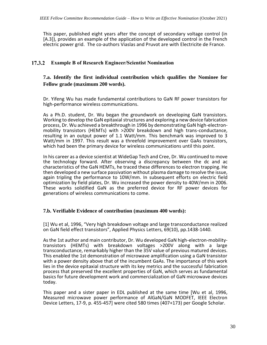This paper, published eight years after the concept of secondary voltage control (in [A.3]), provides an example of the application of the developed control in the French electric power grid. The co-authors Viaslas and Pruvot are with Electricite de France.

#### $17.3.2$ **Example B of Research Engineer/Scientist Nomination**

#### **7.a. Identify the first individual contribution which qualifies the Nominee for Fellow grade (maximum 200 words).**

Dr. Yifeng Wu has made fundamental contributions to GaN RF power transistors for high-performance wireless communications.

As a Ph.D. student, Dr. Wu began the groundwork on developing GaN transistors. Working to develop the GaN epitaxial structures and exploring a new device fabrication process, Dr. Wu achieved a breakthrough in 1996 by demonstrating GaN high-electronmobility transistors (HEMTs) with >200V breakdown and high trans-conductance, resulting in an output power of 1.1 Watt/mm. This benchmark was improved to 3 Watt/mm in 1997. This result was a threefold improvement over GaAs transistors, which had been the primary device for wireless communications until this point.

In his career as a device scientist at WideGap Tech and Cree, Dr. Wu continued to move the technology forward. After observing a discrepancy between the dc and ac characteristics of the GaN HEMTs, he traced these differences to electron trapping. He then developed a new surface passivation without plasma damage to resolve the issue, again tripling the performance to 10W/mm. In subsequent efforts on electric field optimization by field plates, Dr. Wu increased the power density to 40W/mm in 2006. These works solidified GaN as the preferred device for RF power devices for generations of wireless communications to come.

#### **7.b. Verifiable Evidence of contribution (maximum 400 words):**

[1] Wu et al, 1996, "Very high breakdown voltage and large transconductance realized on GaN field effect transistors", Applied Physics Letters, 69(10), pp.1438-1440.

As the 1st author and main contributor, Dr. Wu developed GaN high-electron-mobilitytransistors (HEMTs) with breakdown voltages >200V along with a large transconductance, remarkably higher than the 35V value of previous matured devices. This enabled the 1st demonstration of microwave amplification using a GaN transistor with a power density above that of the incumbent GaAs. The importance of this work lies in the device epitaxial structure with its key metrics and the successful fabrication process that preserved the excellent properties of GaN, which serves as fundamental basics for future development work and commercialization of GaN microwave devices today.

This paper and a sister paper in EDL published at the same time [Wu et al, 1996, Measured microwave power performance of AlGaN/GaN MODFET, IEEE Electron Device Letters, 17-9, p. 455-457] were cited 580 times (407+173) per Google Scholar.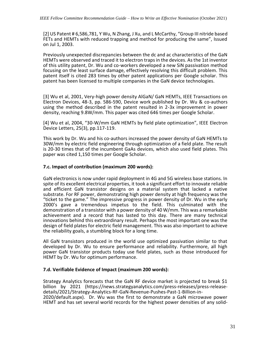[2] US Patent # 6,586,781, Y Wu, N Zhang, J Xu, and L McCarthy, "Group III nitride based FETs and HEMTs with reduced trapping and method for producing the same", Issued on Jul 1, 2003.

Previously unexpected discrepancies between the dc and ac characteristics of the GaN HEMTs were observed and traced it to electron traps in the devices. As the 1st inventor of this utility patent, Dr. Wu and co-workers developed a new SiN passivation method focusing on the least surface damage, effectively resolving this difficult problem. This patent itself is cited 283 times by other patent applications per Google scholar. This patent has been licensed to multiple companies in the GaN device technologies.

[3] Wu et al, 2001, Very-high power density AlGaN/ GaN HEMTs, IEEE Transactions on Electron Devices, 48-3, pp. 586-590, Device work published by Dr. Wu & co-authors using the method described in the patent resulted in 2-3x improvement in power density, reaching 9.8W/mm. This paper was cited 646 times per Google Scholar.

[4] Wu et al, 2004, "30-W/mm GaN HEMTs by field plate optimization", IEEE Electron Device Letters, 25(3), pp.117-119.

This work by Dr. Wu and his co-authors increased the power density of GaN HEMTs to 30W/mm by electric field engineering through optimization of a field plate. The result is 20-30 times that of the incumbent GaAs devices, which also used field plates. This paper was cited 1,150 times per Google Scholar.

#### **7.c. Impact of contribution (maximum 200 words):**

GaN electronics is now under rapid deployment in 4G and 5G wireless base stations. In spite of its excellent electrical properties, it took a significant effort to innovate reliable and efficient GaN transistor designs on a material system that lacked a native substrate. For RF power, demonstrating high power density at high frequency was the "ticket to the game." The impressive progress in power density of Dr. Wu in the early 2000's gave a tremendous impetus to the field. This culminated with the demonstration of a transistor with a power density of 40 W/mm. This was a remarkable achievement and a record that has lasted to this day. There are many technical innovations behind this extraordinary result. Perhaps the most important one was the design of field plates for electric field management. This was also important to achieve the reliability goals, a stumbling block for a long time.

All GaN transistors produced in the world use optimized passivation similar to that developed by Dr. Wu to ensure performance and reliability. Furthermore, all high power GaN transistor products today use field plates, such as those introduced for HEMT by Dr. Wu for optimum performance.

#### **7.d. Verifiable Evidence of Impact (maximum 200 words):**

Strategy Analytics forecasts that the GaN RF device market is projected to break \$1 billion by 2021 (https://news.strategyanalytics.com/press-releases/press-releasedetails/2021/Strategy-Analytics-RF-GaN-Revenue-Pushes-Past-1-Billion-in-2020/default.aspx). Dr. Wu was the first to demonstrate a GaN microwave power

HEMT and has set several world records for the highest power densities of any solid-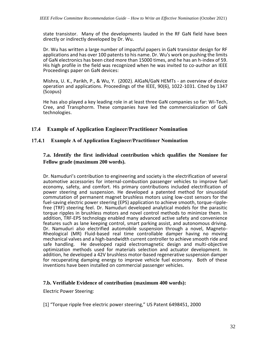state transistor. Many of the developments lauded in the RF GaN field have been directly or indirectly developed by Dr. Wu.

Dr. Wu has written a large number of impactful papers in GaN transistor design for RF applications and has over 100 patents to his name. Dr. Wu's work on pushing the limits of GaN electronics has been cited more than 15000 times, and he has an h-index of 59. His high profile in the field was recognized when he was invited to co-author an IEEE Proceedings paper on GaN devices:

Mishra, U. K., Parikh, P., & Wu, Y. (2002). AlGaN/GaN HEMTs - an overview of device operation and applications. Proceedings of the IEEE, 90(6), 1022-1031. Cited by 1347 (Scopus)

He has also played a key leading role in at least three GaN companies so far: Wi-Tech, Cree, and Transphorm. These companies have led the commercialization of GaN technologies.

## **17.4 Example of Application Engineer/Practitioner Nomination**

#### **Example A of Application Engineer/Practitioner Nomination**  $17.4.1$

### **7.a. Identify the first individual contribution which qualifies the Nominee for Fellow grade (maximum 200 words).**

Dr. Namuduri's contribution to engineering and society is the electrification of several automotive accessories for internal-combustion passenger vehicles to improve fuel economy, safety, and comfort. His primary contributions included electrification of power steering and suspension. He developed a patented method for sinusoidal commutation of permanent magnet brushless motors using low-cost sensors for the fuel-saving electric power steering (EPS) application to achieve smooth, torque-ripplefree (TRF) steering feel. Dr. Namuduri developed analytical models for the parasitic torque ripples in brushless motors and novel control methods to minimize them. In addition, TRF-EPS technology enabled many advanced active safety and convenience features such as lane keeping control, smart parking assist, and autonomous driving. Dr. Namuduri also electrified automobile suspension through a novel, Magneto-Rheological (MR) Fluid-based real time controllable damper having no moving mechanical valves and a high-bandwidth current controller to achieve smooth ride and safe handling. He developed rapid electromagnetic design and multi-objective optimization methods used for materials selection and actuator development. In addition, he developed a 42V brushless motor-based regenerative suspension damper for recuperating damping energy to improve vehicle fuel economy. Both of these inventions have been installed on commercial passenger vehicles.

#### **7.b. Verifiable Evidence of contribution (maximum 400 words):**

Electric Power Steering:

[1] "Torque ripple free electric power steering," US Patent 6498451, 2000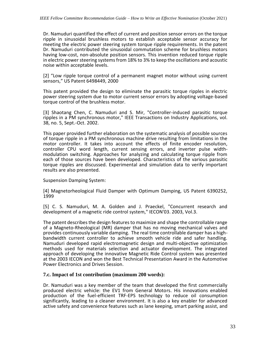Dr. Namuduri quantified the effect of current and position sensor errors on the torque ripple in sinusoidal brushless motors to establish acceptable sensor accuracy for meeting the electric power steering system torque ripple requirements. In the patent Dr. Namuduri contributed the sinusoidal commutation scheme for brushless motors having low-cost, non-absolute position sensors. This invention reduced torque ripple in electric power steering systems from 18% to 3% to keep the oscillations and acoustic noise within acceptable levels.

[2] "Low ripple torque control of a permanent magnet motor without using current sensors," US Patent 6498449, 2000

This patent provided the design to eliminate the parasitic torque ripples in electric power steering system due to motor current sensor errors by adopting voltage-based torque control of the brushless motor.

[3] Shaotang Chen, C. Namuduri and S. Mir, "Controller-induced parasitic torque ripples in a PM synchronous motor," IEEE Transactions on Industry Applications, vol. 38, no. 5, Sept.-Oct. 2002.

This paper provided further elaboration on the systematic analysis of possible sources of torque ripple in a PM synchronous machine drive resulting from limitations in the motor controller. It takes into account the effects of finite encoder resolution, controller CPU word length, current sensing errors, and inverter pulse widthmodulation switching. Approaches for analyzing and calculating torque ripple from each of those sources have been developed. Characteristics of the various parasitic torque ripples are discussed. Experimental and simulation data to verify important results are also presented.

Suspension Damping System:

[4] Magnetorheological Fluid Damper with Optimum Damping, US Patent 6390252, 1999

[5] C. S. Namuduri, M. A. Golden and J. Praeckel, "Concurrent research and development of a magnetic ride control system," IECON'03. 2003, Vol.3.

The patent describes the design features to maximize and shape the controllable range of a Magneto-Rheological (MR) damper that has no moving mechanical valves and provides continuously variable damping. The real time controllable damper has a highbandwidth current controller to achieve smooth vehicle ride and safer handling. Namuduri developed rapid electromagnetic design and multi-objective optimization methods used for materials selection and actuator development. The integrated approach of developing the innovative Magnetic Ride Control system was presented at the 2003 IECON and won the Best Technical Presentation Award in the Automotive Power Electronics and Drives Session.

#### **7.c. Impact of 1st contribution (maximum 200 words):**

Dr. Namuduri was a key member of the team that developed the first commercially produced electric vehicle: the EV1 from General Motors. His innovations enabled production of the fuel-efficient TRF-EPS technology to reduce oil consumption significantly, leading to a cleaner environment. It is also a key enabler for advanced active safety and convenience features such as lane keeping, smart parking assist, and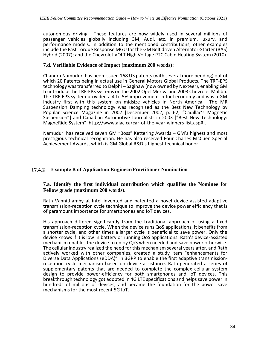autonomous driving. These features are now widely used in several millions of passenger vehicles globally including GM, Audi, etc. in premium, luxury, and performance models. In addition to the mentioned contributions, other examples include the Fast Torque Response MGU for the GM Belt driven Alternator-Starter (BAS) Hybrid (2007); and the Chevrolet VOLT High Voltage PTC Cabin Heating System (2010).

#### **7.d. Verifiable Evidence of Impact (maximum 200 words):**

Chandra Namuduri has been issued 168 US patents (with several more pending) out of which 20 Patents being in actual use in General Motors Global Products. The TRF-EPS technology was transferred to Delphi – Saginaw (now owned by Nexteer), enabling GM to introduce the TRF-EPS systems on the 2002 Opel Meriva and 2003 Chevrolet Malibu. The TRF-EPS system provided a 4 to 5% improvement in fuel economy and was a GM industry first with this system on midsize vehicles in North America. Suspension Damping technology was recognized as the Best New Technology by Popular Science Magazine in 2002 [December 2002, p. 62, "Cadillac's Magnetic Suspension"] and Canadian Automotive Journalists in 2003 ["Best New Technology: MagneRide System" http://www.ajac.ca/car-of-the-year-winners-list.asp#].

Namuduri has received seven GM "Boss" Kettering Awards – GM's highest and most prestigious technical recognition. He has also received Four Charles McCuen Special Achievement Awards, which is GM Global R&D's highest technical honor.

#### 17.4.2 **Example B of Application Engineer/Practitioner Nomination**

#### **7.a. Identify the first individual contribution which qualifies the Nominee for Fellow grade (maximum 200 words).**

Rath Vannithamby at Intel invented and patented a novel device-assisted adaptive transmission-reception cycle technique to improve the device power efficiency that is of paramount importance for smartphones and IoT devices.

His approach differed significantly from the traditional approach of using a fixed transmission-reception cycle. When the device runs QoS applications, it benefits from a shorter cycle, and other times a larger cycle is beneficial to save power. Only the device knows if it is low in battery or running QoS applications. Rath's device-assisted mechanism enables the device to enjoy QoS when needed and save power otherwise. The cellular industry realized the need for this mechanism several years after, and Rath actively worked with other companies, created a study item "enhancements for Diverse Data Applications (eDDA)" in 3GPP to enable the first adaptive transmissionreception cycle mechanism based on device-assistance. Rath generated a series of supplementary patents that are needed to complete the complex cellular system design to provide power-efficiency for both smartphones and IoT devices. This breakthrough technology got adopted in 4G LTE specifications and helps save power in hundreds of millions of devices, and became the foundation for the power save mechanisms for the most recent 5G IoT.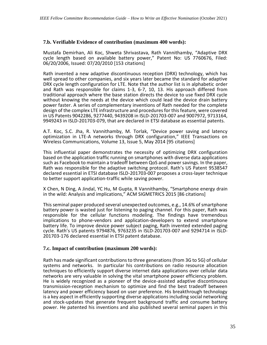#### **7.b. Verifiable Evidence of contribution (maximum 400 words):**

Mustafa Demirhan, Ali Koc, Shweta Shrivastava, Rath Vannithamby, "Adaptive DRX cycle length based on available battery power," Patent No: US 7760676, Filed: 06/20/2006, Issued: 07/20/2010 [153 citations]

Rath invented a new adaptive discontinuous reception (DRX) technology, which has well spread to other companies, and six years later became the standard for adaptive DRX cycle length configuration for LTE. Note that the author list is in alphabetic order and Rath was responsible for claims 1-3, 6-7, 10, 13. His approach differed from traditional approach where the base station directs the device to use fixed DRX cycle without knowing the needs at the device which could lead the device drain battery power faster. A series of complementary inventions of Rath needed for the complete design of the complex LTE infrastructure and procedures for this feature, were covered in US Patents 9042286, 9277440, 9439208 in ISLD-201703-007 and 9007972, 9713164, 9949243 in ISLD-201703-079, that are declared in ETSI database as essential patents.

A.T. Koc, S.C. Jha, R. Vannithamby, M. Torlak, "Device power saving and latency optimization in LTE-A networks through DRX configuration," IEEE Transactions on Wireless Communications, Volume 13, Issue 5, May 2014 [95 citations]

This influential paper demonstrates the necessity of optimizing DRX configuration based on the application traffic running on smartphones with diverse data applications such as Facebook to maintain a tradeoff between QoS and power savings. In the paper, Rath was responsible for the adaptive switching protocol. Rath's US Patent 9538547 declared essential in ETSI database ISLD-201703-007 proposes a cross-layer technique to better support application-traffic while saving power.

X Chen, N Ding, A Jindal, YC Hu, M Gupta, R Vannithamby, "Smartphone energy drain in the wild: Analysis and implications," ACM SIGMETRICS 2015 [86 citations]

This seminal paper produced several unexpected outcomes, e.g., 14.6% of smartphone battery power is wasted just for listening to paging channel. For this paper, Rath was responsible for the cellular functions modeling. The findings have tremendous implications to phone-vendors and application-developers to extend smartphone battery life. To improve device power subject paging, Rath invented extended paging cycle. Rath's US patents 9794876, 9763235 in ISLD-201703-007 and 9294714 in ISLD-201703-176 declared essential in ETSI patent database.

#### **7.c. Impact of contribution (maximum 200 words):**

Rath has made significant contributions to three generations (from 3G to 5G) of cellular systems and networks. In particular his contributions on radio resource allocation techniques to efficiently support diverse internet data applications over cellular data networks are very valuable in solving the vital smartphone power efficiency problem. He is widely recognized as a pioneer of the device-assisted adaptive discontinuous transmission-reception mechanism to optimize and find the best tradeoff between latency and power efficiency based on user preference. His breakthrough technology is a key aspect in efficiently supporting diverse applications including social networking and stock-updates that generate frequent background traffic and consume battery power. He patented his inventions and also published several seminal papers in this